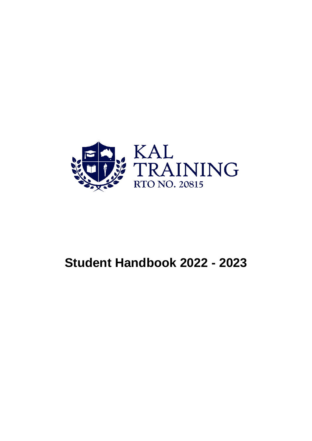

# **Student Handbook 2022 - 2023**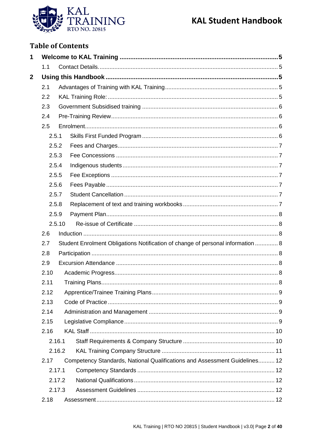

## **Table of Contents**

| 1           |            |        |                                                                                 |  |  |  |  |
|-------------|------------|--------|---------------------------------------------------------------------------------|--|--|--|--|
|             | 1.1        |        |                                                                                 |  |  |  |  |
| $\mathbf 2$ |            |        |                                                                                 |  |  |  |  |
|             | 2.1        |        |                                                                                 |  |  |  |  |
|             | 2.2        |        |                                                                                 |  |  |  |  |
|             | 2.3<br>2.4 |        |                                                                                 |  |  |  |  |
|             |            |        |                                                                                 |  |  |  |  |
|             | 2.5        |        |                                                                                 |  |  |  |  |
|             | 2.5.1      |        |                                                                                 |  |  |  |  |
|             |            | 2.5.2  |                                                                                 |  |  |  |  |
|             |            | 2.5.3  |                                                                                 |  |  |  |  |
|             |            | 2.5.4  |                                                                                 |  |  |  |  |
|             |            | 2.5.5  |                                                                                 |  |  |  |  |
|             |            | 2.5.6  |                                                                                 |  |  |  |  |
|             |            | 2.5.7  |                                                                                 |  |  |  |  |
|             |            | 2.5.8  |                                                                                 |  |  |  |  |
|             |            | 2.5.9  |                                                                                 |  |  |  |  |
|             |            | 2.5.10 |                                                                                 |  |  |  |  |
|             | 2.6        |        |                                                                                 |  |  |  |  |
|             | 2.7        |        | Student Enrolment Obligations Notification of change of personal information  8 |  |  |  |  |
|             | 2.8        |        |                                                                                 |  |  |  |  |
|             | 2.9        |        |                                                                                 |  |  |  |  |
|             | 2.10       |        |                                                                                 |  |  |  |  |
|             | 2.11       |        |                                                                                 |  |  |  |  |
|             | 2.12       |        |                                                                                 |  |  |  |  |
|             | 2.13       |        |                                                                                 |  |  |  |  |
|             | 2.14       |        |                                                                                 |  |  |  |  |
|             | 2.15       |        |                                                                                 |  |  |  |  |
|             | 2.16       |        |                                                                                 |  |  |  |  |
|             |            | 2.16.1 |                                                                                 |  |  |  |  |
|             |            | 2.16.2 |                                                                                 |  |  |  |  |
|             | 2.17       |        | Competency Standards, National Qualifications and Assessment Guidelines 12      |  |  |  |  |
|             |            | 2.17.1 |                                                                                 |  |  |  |  |
|             |            | 2.17.2 |                                                                                 |  |  |  |  |
|             |            | 2.17.3 |                                                                                 |  |  |  |  |
|             | 2.18       |        |                                                                                 |  |  |  |  |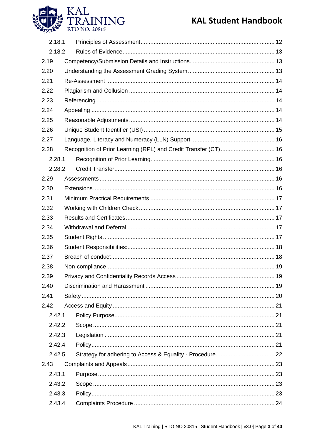

| 2.18.1 |  |                                                                 |  |
|--------|--|-----------------------------------------------------------------|--|
| 2.18.2 |  |                                                                 |  |
| 2.19   |  |                                                                 |  |
| 2.20   |  |                                                                 |  |
| 2.21   |  |                                                                 |  |
| 2.22   |  |                                                                 |  |
| 2.23   |  |                                                                 |  |
| 2.24   |  |                                                                 |  |
| 2.25   |  |                                                                 |  |
| 2.26   |  |                                                                 |  |
| 2.27   |  |                                                                 |  |
| 2.28   |  | Recognition of Prior Learning (RPL) and Credit Transfer (CT) 16 |  |
| 2.28.1 |  |                                                                 |  |
| 2.28.2 |  |                                                                 |  |
| 2.29   |  |                                                                 |  |
| 2.30   |  |                                                                 |  |
| 2.31   |  |                                                                 |  |
| 2.32   |  |                                                                 |  |
| 2.33   |  |                                                                 |  |
| 2.34   |  |                                                                 |  |
| 2.35   |  |                                                                 |  |
| 2.36   |  |                                                                 |  |
| 2.37   |  |                                                                 |  |
| 2.38   |  |                                                                 |  |
| 2.39   |  |                                                                 |  |
| 2.40   |  |                                                                 |  |
| 2.41   |  |                                                                 |  |
| 2.42   |  |                                                                 |  |
| 2.42.1 |  |                                                                 |  |
| 2.42.2 |  |                                                                 |  |
| 2.42.3 |  |                                                                 |  |
| 2.42.4 |  |                                                                 |  |
| 2.42.5 |  |                                                                 |  |
| 2.43   |  |                                                                 |  |
| 2.43.1 |  |                                                                 |  |
| 2.43.2 |  |                                                                 |  |
| 2.43.3 |  |                                                                 |  |
| 2.43.4 |  |                                                                 |  |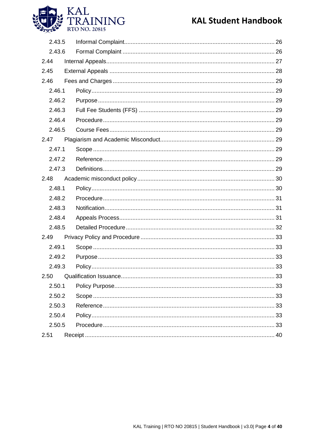

| 2.43.5 |  |  |
|--------|--|--|
| 2.43.6 |  |  |
| 2.44   |  |  |
| 2.45   |  |  |
| 2.46   |  |  |
| 2.46.1 |  |  |
| 2.46.2 |  |  |
| 2.46.3 |  |  |
| 2.46.4 |  |  |
| 2.46.5 |  |  |
| 2.47   |  |  |
| 2.47.1 |  |  |
| 2.47.2 |  |  |
| 2.47.3 |  |  |
| 2.48   |  |  |
| 2.48.1 |  |  |
| 2.48.2 |  |  |
| 2.48.3 |  |  |
| 2.48.4 |  |  |
| 2.48.5 |  |  |
| 2.49   |  |  |
| 2.49.1 |  |  |
| 2.49.2 |  |  |
| 2.49.3 |  |  |
| 2.50   |  |  |
| 2.50.1 |  |  |
| 2.50.2 |  |  |
| 2.50.3 |  |  |
| 2.50.4 |  |  |
| 2.50.5 |  |  |
| 2.51   |  |  |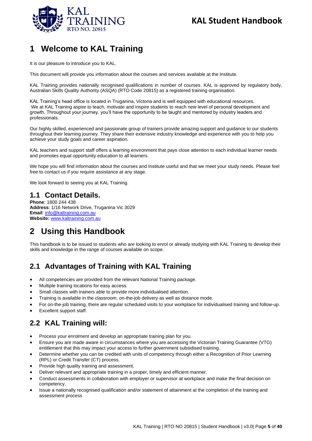

## <span id="page-4-0"></span>**1 Welcome to KAL Training**

It is our pleasure to introduce you to KAL.

This document will provide you information about the courses and services available at the Institute.

KAL Training provides nationally recognised qualifications in number of courses. KAL is approved by regulatory body, Australian Skills Quality Authority (ASQA) (RTO Code 20815) as a registered training organisation.

KAL Training's head office is located in Truganina, Victoria and is well equipped with educational resources. We at KAL Training aspire to teach, motivate and inspire students to reach new level of personal development and growth. Throughout your journey, you'll have the opportunity to be taught and mentored by industry leaders and professionals.

Our highly skilled, experienced and passionate group of trainers provide amazing support and guidance to our students throughout their learning journey. They share their extensive industry knowledge and experience with you to help you achieve your study goals and career aspiration.

KAL teachers and support staff offers a learning environment that pays close attention to each individual learner needs and promotes equal opportunity education to all learners.

We hope you will find information about the courses and Institute useful and that we meet your study needs. Please feel free to contact us if you require assistance at any stage.

We look forward to seeing you at KAL Training.

### <span id="page-4-1"></span>**1.1 Contact Details.**

**Phone**: 1800 244 438 **Address**: 1/16 Network Drive, Truganina Vic 3029 **Email**: [info@kaltraining.com.au](mailto:info@kaltraining.com.au) **Website:** [www.kaltraining.com.au](http://www.kaltraining.com.au/)

## <span id="page-4-2"></span>**2 Using this Handbook**

This handbook is to be issued to students who are looking to enrol or already studying with KAL Training to develop their skills and knowledge in the range of courses available on scope.

## <span id="page-4-3"></span>**2.1 Advantages of Training with KAL Training**

- All competencies are provided from the relevant National Training package.
- Multiple training locations for easy access.
- Small classes with trainers able to provide more individualised attention.
- Training is available in the classroom, on-the-job delivery as well as distance mode.
- For on-the-job training, there are regular scheduled visits to your workplace for individualised training and follow-up.
- Excellent support staff.

## <span id="page-4-4"></span>**2.2 KAL Training will:**

- Process your enrolment and develop an appropriate training plan for you.
- Ensure you are made aware in circumstances where you are accessing the Victorian Training Guarantee (VTG) entitlement that this may impact your access to further government subsidised training.
- Determine whether you can be credited with units of competency through either a Recognition of Prior Learning (RPL) or Credit Transfer (CT) process.
- Provide high quality training and assessment.
- Deliver relevant and appropriate training in a proper, timely and efficient manner.
- Conduct assessments in collaboration with employer or supervisor at workplace and make the final decision on competency.
- Issue a nationally recognised qualification and/or statement of attainment at the completion of the training and assessment process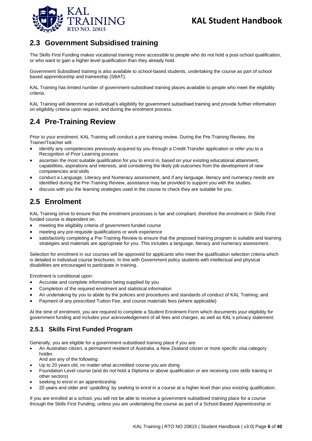

## <span id="page-5-0"></span>**2.3 Government Subsidised training**

The Skills First Funding makes vocational training more accessible to people who do not hold a post-school qualification, or who want to gain a higher-level qualification than they already hold.

Government Subsidised training is also available to school-based students, undertaking the course as part of school based apprenticeship and traineeship (SBAT).

KAL Training has limited number of government-subsidised training places available to people who meet the eligibility criteria.

KAL Training will determine an individual's eligibility for government subsidised training and provide further information on eligibility criteria upon request, and during the enrolment process.

## <span id="page-5-1"></span>**2.4 Pre-Training Review**

Prior to your enrolment, KAL Training will conduct a pre training review. During the Pre-Training Review, the Trainer/Teacher will:

- identify any competencies previously acquired by you through a Credit Transfer application or refer you to a Recognition of Prior Learning process
- ascertain the most suitable qualification for you to enrol in, based on your existing educational attainment, capabilities, aspirations and interests, and considering the likely job outcomes from the development of new competencies and skills
- conduct a Language, Literacy and Numeracy assessment, and if any language, literacy and numeracy needs are identified during the Pre-Training Review, assistance may be provided to support you with the studies.
- discuss with you the learning strategies used in the course to check they are suitable for you.

## <span id="page-5-2"></span>**2.5 Enrolment**

KAL Training strive to ensure that the enrolment processes is fair and compliant, therefore the enrolment in Skills First funded course is dependent on.

- meeting the eligibility criteria of government funded course
- meeting any pre-requisite qualifications or work experience
- satisfactorily completing a Pre-Training Review to ensure that the proposed training program is suitable and learning strategies and materials are appropriate for you. This includes a language, literacy and numeracy assessment.

Selection for enrolment in our courses will be approved for applicants who meet the qualification selection criteria which is detailed in individual course brochures. In line with Government policy students with intellectual and physical disabilities are encouraged to participate in training.

Enrolment is conditional upon:

- Accurate and complete information being supplied by you
- Completion of the required enrolment and statistical information
- An undertaking by you to abide by the policies and procedures and standards of conduct of KAL Training; and
- Payment of any prescribed Tuition Fee, and course materials fees (where applicable)

At the time of enrolment, you are required to complete a Student Enrolment Form which documents your eligibility for government funding and includes your acknowledgement of all fees and charges, as well as KAL's privacy statement.

### <span id="page-5-3"></span>**2.5.1 Skills First Funded Program**

Generally, you are eligible for a government-subsidised training place if you are:

- An Australian citizen, a permanent resident of Australia, a New Zealand citizen or more specific visa category holder.
	- And are any of the following:
- Up to 20 years old, no matter what accredited course you are doing
- Foundation Level course (and do not hold a Diploma or above qualification or are receiving core skills training in other sectors)
- seeking to enrol in an apprenticeship
- 20 years and older and 'upskilling' by seeking to enrol in a course at a higher level than your existing qualification.

If you are enrolled at a school, you will not be able to receive a government-subsidised training place for a course through the Skills First Funding, unless you are undertaking the course as part of a School-Based Apprenticeship or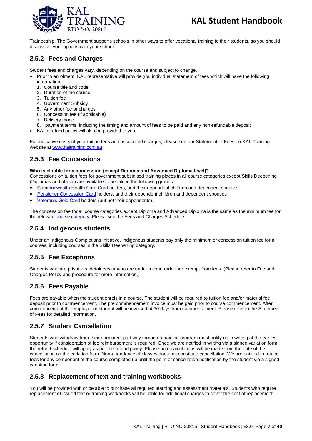

Traineeship. The Government supports schools in other ways to offer vocational training to their students, so you should discuss all your options with your school.

### <span id="page-6-0"></span>**2.5.2 Fees and Charges**

Student fees and charges vary, depending on the course and subject to change.

- Prior to enrolment, KAL representative will provide you individual statement of fees which will have the following information:
	- 1. Course title and code
	- 2. Duration of the course
	- 3. Tuition fee
	- 4. Government Subsidy
	- 5. Any other fee or charges
	- 6. Concession fee (if applicable)
	- 7. Delivery mode
	- 8. payment terms, including the timing and amount of fees to be paid and any non-refundable deposit
- KAL's refund policy will also be provided to you.

For indicative costs of your tuition fees and associated charges, please see our Statement of Fees on KAL Training website at [www.kaltraining.com.au](http://www.kaltraining.com.au/)

#### <span id="page-6-1"></span>**2.5.3 Fee Concessions**

#### **Who is eligible for a concession (except Diploma and Advanced Diploma level)?**

Concessions on tuition fees for government subsidised training places in all course categories except Skills Deepening (Diplomas and above) are available to people in the following groups:

- [Commonwealth Health Care Card](http://www.centrelink.gov.au/internet/internet.nsf/payments/conc_cards.htm) holders, and their dependent children and dependent spouses
- [Pensioner Concession Card](http://www.centrelink.gov.au/Internet/internet.nsf/payments/conc_cards_pcc.htm) holders, and their dependent children and dependent spouses
- [Veteran's Gold Card](http://www.dva.gov.au/service_providers/treatment_cards/Pages/index.aspx) holders (but not their dependents).

The concession fee for all course categories except Diploma and Advanced Diploma is the same as the minimum fee for the relevant **course category**. Please see the Fees and Charges Schedule

#### <span id="page-6-2"></span>**2.5.4 Indigenous students**

Under an Indigenous Completions Initiative, Indigenous students pay only the minimum or concession tuition fee for all courses, including courses in the Skills Deepening category.

#### <span id="page-6-3"></span>**2.5.5 Fee Exceptions**

Students who are prisoners, detainees or who are under a court order are exempt from fees. (Please refer to Fee and Charges Policy and procedure for more information.)

### <span id="page-6-4"></span>**2.5.6 Fees Payable**

Fees are payable when the student enrols in a course. The student will be required to tuition fee and/or material fee deposit prior to commencement. The pre commencement invoice must be paid prior to course commencement. After commencement the employer or student will be invoiced at 30 days from commencement. Please refer to the Statement of Fees for detailed information.

### <span id="page-6-5"></span>**2.5.7 Student Cancellation**

Students who withdraw from their enrolment part way through a training program must notify us in writing at the earliest opportunity if consideration of fee reimbursement is required. Once we are notified in writing via a signed variation form the refund schedule will apply as per the refund policy. Please note calculations will be made from the date of the cancellation on the variation form. Non-attendance of classes does not constitute cancellation. We are entitled to retain fees for any component of the course completed up until the point of cancellation notification by the student via a signed variation form.

#### <span id="page-6-6"></span>**2.5.8 Replacement of text and training workbooks**

You will be provided with or be able to purchase all required learning and assessment materials. Students who require replacement of issued text or training workbooks will be liable for additional charges to cover the cost of replacement.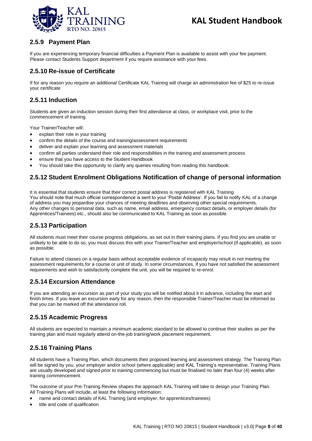

### <span id="page-7-0"></span>**2.5.9 Payment Plan**

If you are experiencing temporary financial difficulties a Payment Plan is available to assist with your fee payment. Please contact Students Support department if you require assistance with your fees.

#### <span id="page-7-1"></span>**2.5.10 Re-issue of Certificate**

If for any reason you require an additional Certificate KAL Training will charge an administration fee of \$25 to re-issue your certificate

#### <span id="page-7-2"></span>**2.5.11 Induction**

Students are given an induction session during their first attendance at class, or workplace visit, prior to the commencement of training.

Your Trainer/Teacher will:

- explain their role in your training
- confirm the details of the course and training/assessment requirements
- deliver and explain your learning and assessment materials
- confirm all parties understand their role and responsibilities in the training and assessment process
- ensure that you have access to the Student Handbook
- You should take this opportunity to clarify any queries resulting from reading this handbook.

#### <span id="page-7-3"></span>**2.5.12 Student Enrolment Obligations Notification of change of personal information**

It is essential that students ensure that their correct postal address is registered with KAL Training You should note that much official correspondence is sent to your 'Postal Address'. If you fail to notify KAL of a change of address you may jeopardise your chances of meeting deadlines and observing other special requirements. Any other changes to personal data, such as name, email address, emergency contact details, or employer details (for Apprentices/Trainees) etc., should also be communicated to KAL Training as soon as possible.

#### <span id="page-7-4"></span>**2.5.13 Participation**

All students must meet their course progress obligations, as set out in their training plans. If you find you are unable or unlikely to be able to do so, you must discuss this with your Trainer/Teacher and employer/school (if applicable), as soon as possible.

Failure to attend classes on a regular basis without acceptable evidence of incapacity may result in not meeting the assessment requirements for a course or unit of study. In some circumstances, if you have not satisfied the assessment requirements and wish to satisfactorily complete the unit, you will be required to re-enrol.

#### <span id="page-7-5"></span>**2.5.14 Excursion Attendance**

If you are attending an excursion as part of your study you will be notified about it in advance, including the start and finish times. If you leave an excursion early for any reason, then the responsible Trainer/Teacher must be informed so that you can be marked off the attendance roll.

#### <span id="page-7-6"></span>**2.5.15 Academic Progress**

All students are expected to maintain a minimum academic standard to be allowed to continue their studies as per the training plan and must regularly attend on-the-job training/work placement requirement.

#### <span id="page-7-7"></span>**2.5.16 Training Plans**

All students have a Training Plan, which documents their proposed learning and assessment strategy. The Training Plan will be signed by you, your employer and/or school (where applicable) and KAL Training's representative. Training Plans are usually developed and signed prior to training commencing but must be finalised no later than four (4) weeks after training commencement.

The outcome of your Pre-Training Review shapes the approach KAL Training will take to design your Training Plan. All Training Plans will include, at least the following information:

- name and contact details of KAL Training (and employer, for apprentices/trainees)
- title and code of qualification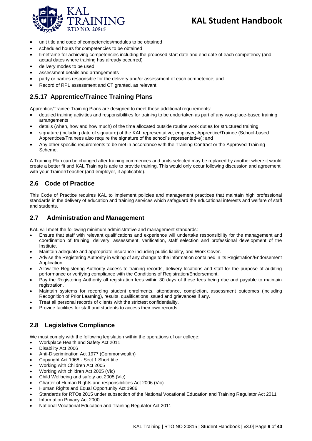

- unit title and code of competencies/modules to be obtained
- scheduled hours for competencies to be obtained
- timeframe for achieving competencies including the proposed start date and end date of each competency (and actual dates where training has already occurred)
- delivery modes to be used
- assessment details and arrangements
- party or parties responsible for the delivery and/or assessment of each competence; and
- Record of RPL assessment and CT granted, as relevant.

### <span id="page-8-0"></span>**2.5.17 Apprentice/Trainee Training Plans**

Apprentice/Trainee Training Plans are designed to meet these additional requirements:

- detailed training activities and responsibilities for training to be undertaken as part of any workplace-based training arrangements
- details (when, how and how much) of the time allocated outside routine work duties for structured training
- signature (including date of signature) of the KAL representative, employer, Apprentice/Trainee (School-based Apprentices/Trainees also require the signature of the school's representative); and
- Any other specific requirements to be met in accordance with the Training Contract or the Approved Training Scheme.

A Training Plan can be changed after training commences and units selected may be replaced by another where it would create a better fit and KAL Training is able to provide training. This would only occur following discussion and agreement with your Trainer/Teacher (and employer, if applicable).

#### <span id="page-8-1"></span>**2.6 Code of Practice**

This Code of Practice requires KAL to implement policies and management practices that maintain high professional standards in the delivery of education and training services which safeguard the educational interests and welfare of staff and students.

#### <span id="page-8-2"></span>**2.7 Administration and Management**

KAL will meet the following minimum administrative and management standards:

- Ensure that staff with relevant qualifications and experience will undertake responsibility for the management and coordination of training, delivery, assessment, verification, staff selection and professional development of the Institute.
- Maintain adequate and appropriate insurance including public liability, and Work Cover.
- Advise the Registering Authority in writing of any change to the information contained in its Registration/Endorsement Application.
- Allow the Registering Authority access to training records, delivery locations and staff for the purpose of auditing performance or verifying compliance with the Conditions of Registration/Endorsement.
- Pay the Registering Authority all registration fees within 30 days of these fees being due and payable to maintain registration.
- Maintain systems for recording student enrolments, attendance, completion, assessment outcomes (including Recognition of Prior Learning), results, qualifications issued and grievances if any.
- Treat all personal records of clients with the strictest confidentiality.
- Provide facilities for staff and students to access their own records.

### <span id="page-8-3"></span>**2.8 Legislative Compliance**

We must comply with the following legislation within the operations of our college:

- Workplace Health and Safety Act 2011
- Disability Act 2006
- Anti-Discrimination Act 1977 (Commonwealth)
- Copyright Act 1968 Sect 1 Short title
- Working with Children Act 2005
- Working with children Act 2005 (Vic)
- Child Wellbeing and safety act 2005 (Vic)
- Charter of Human Rights and responsibilities Act 2006 (Vic)
- Human Rights and Equal Opportunity Act 1986
- Standards for RTOs 2015 under subsection of the National Vocational Education and Training Regulator Act 2011
- Information Privacy Act 2000
- National Vocational Education and Training Regulator Act 2011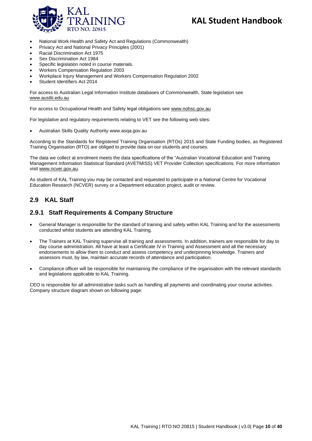

- National Work Health and Safety Act and Regulations (Commonwealth)
- Privacy Act and National Privacy Principles (2001)
- Racial Discrimination Act 1975
- Sex Discrimination Act 1984
- Specific legislation noted in course materials.
- Workers Compensation Regulation 2003
- Workplace Injury Management and Workers Compensation Regulation 2002
- Student Identifiers Act 2014

For access to Australian Legal Information Institute databases of Commonwealth, State legislation see www.austlii.edu.au

For access to Occupational Health and Safety legal obligations see www.nohsc.gov.au

For legislative and regulatory requirements relating to VET see the following web sites:

• Australian Skills Quality Authority www.asqa.gov.au

According to the Standards for Registered Training Organisation (RTOs) 2015 and State Funding bodies, as Registered Training Organisation (RTO) are obliged to provide data on our students and courses.

The data we collect at enrolment meets the data specifications of the "Australian Vocational Education and Training Management Information Statistical Standard (AVETMISS) VET Provider Collection specifications. For more information visit [www.ncver.gov.au.](http://www.ncver.gov.au/) 

As student of KAL Training you may be contacted and requested to participate in a National Centre for Vocational Education Research (NCVER) survey or a Department education project, audit or review.

#### <span id="page-9-0"></span>**2.9 KAL Staff**

#### <span id="page-9-1"></span>**2.9.1 Staff Requirements & Company Structure**

- General Manager is responsible for the standard of training and safety within KAL Training and for the assessments conducted whilst students are attending KAL Training.
- The Trainers at KAL Training supervise all training and assessments. In addition, trainers are responsible for day to day course administration. All have at least a Certificate IV in Training and Assessment and all the necessary endorsements to allow them to conduct and assess competency and underpinning knowledge. Trainers and assessors must, by law, maintain accurate records of attendance and participation.
- Compliance officer will be responsible for maintaining the compliance of the organisation with the relevant standards and legislations applicable to KAL Training.

CEO is responsible for all administrative tasks such as handling all payments and coordinating your course activities. Company structure diagram shown on following page: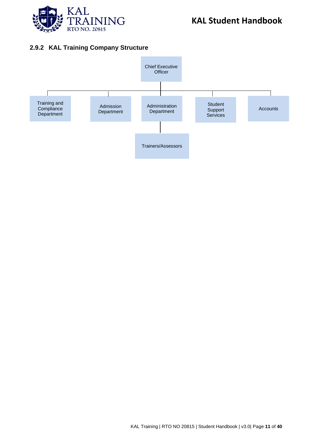

### <span id="page-10-0"></span>**2.9.2 KAL Training Company Structure**

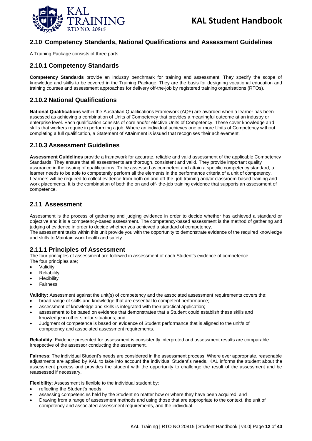

#### <span id="page-11-0"></span>**2.10 Competency Standards, National Qualifications and Assessment Guidelines**

A Training Package consists of three parts:

#### <span id="page-11-1"></span>**2.10.1 Competency Standards**

**Competency Standards** provide an industry benchmark for training and assessment. They specify the scope of knowledge and skills to be covered in the Training Package. They are the basis for designing vocational education and training courses and assessment approaches for delivery off-the-job by registered training organisations (RTOs).

#### <span id="page-11-2"></span>**2.10.2 National Qualifications**

**National Qualifications** within the Australian Qualifications Framework (AQF) are awarded when a learner has been assessed as achieving a combination of Units of Competency that provides a meaningful outcome at an industry or enterprise level. Each qualification consists of core and/or elective Units of Competency. These cover knowledge and skills that workers require in performing a job. Where an individual achieves one or more Units of Competency without completing a full qualification, a Statement of Attainment is issued that recognises their achievement.

#### <span id="page-11-3"></span>**2.10.3 Assessment Guidelines**

**Assessment Guidelines** provide a framework for accurate, reliable and valid assessment of the applicable Competency Standards. They ensure that all assessments are thorough, consistent and valid. They provide important quality assurance in the issuing of qualifications. To be assessed as competent and attain a specific competency standard, a learner needs to be able to competently perform all the elements in the performance criteria of a unit of competency, Learners will be required to collect evidence from both on and off-the- job training and/or classroom-based training and work placements. It is the combination of both the on and off- the-job training evidence that supports an assessment of competence.

#### <span id="page-11-4"></span>**2.11 Assessment**

Assessment is the process of gathering and judging evidence in order to decide whether has achieved a standard or objective and it is a competency-based assessment. The competency-based assessment is the method of gathering and judging of evidence in order to decide whether you achieved a standard of competency.

The assessment tasks within this unit provide you with the opportunity to demonstrate evidence of the required knowledge and skills to Maintain work health and safety.

#### <span id="page-11-5"></span>**2.11.1 Principles of Assessment**

The four principles of assessment are followed in assessment of each Student's evidence of competence. The four principles are;

- **Validity**
- **Reliability**
- **Flexibility**
- Fairness

**Validity:** Assessment against the unit(s) of competency and the associated assessment requirements covers the:

- broad range of skills and knowledge that are essential to competent performance;
- assessment of knowledge and skills is integrated with their practical application;
- assessment to be based on evidence that demonstrates that a Student could establish these skills and knowledge in other similar situations; and
- Judgment of competence is based on evidence of Student performance that is aligned to the unit/s of competency and associated assessment requirements.

**Reliability**: Evidence presented for assessment is consistently interpreted and assessment results are comparable irrespective of the assessor conducting the assessment.

**Fairness**: The individual Student's needs are considered in the assessment process. Where ever appropriate, reasonable adjustments are applied by KAL to take into account the individual Student's needs. KAL informs the student about the assessment process and provides the student with the opportunity to challenge the result of the assessment and be reassessed if necessary.

**Flexibility**: Assessment is flexible to the individual student by:

- reflecting the Student's needs;
- assessing competencies held by the Student no matter how or where they have been acquired; and
- Drawing from a range of assessment methods and using those that are appropriate to the context, the unit of competency and associated assessment requirements, and the individual.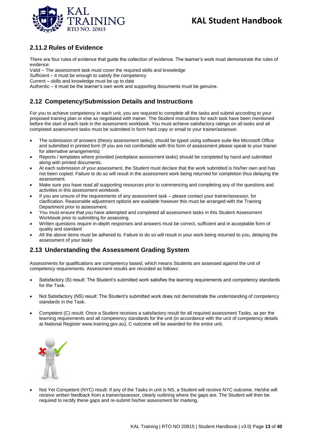

### <span id="page-12-0"></span>**2.11.2 Rules of Evidence**

There are four rules of evidence that guide the collection of evidence. The learner's work must demonstrate the rules of evidence:

Valid – The assessment task must cover the required skills and knowledge

Sufficient – it must be enough to satisfy the competency

Current – skills and knowledge must be up to date

Authentic – it must be the learner's own work and supporting documents must be genuine.

### <span id="page-12-1"></span>**2.12 Competency/Submission Details and Instructions**

For you to achieve competency in each unit, you are required to complete all the tasks and submit according to your proposed training plan or else as negotiated with trainer. The Student instructions for each task have been mentioned before the start of each task in the assessment workbook. You must achieve satisfactory ratings on all tasks and all completed assessment tasks must be submitted in form hard copy or email to your trainer/assessor.

- The submission of answers (theory assessment tasks), should be typed using software suite like Microsoft Office and submitted in printed form (If you are not comfortable with this form of assessment please speak to your trainer for alternative arrangements)
- Reports / templates where provided (workplace assessment tasks) should be completed by hand and submitted along with printed documents.
- At each submission of your assessment, the Student must declare that the work submitted is his/her own and has not been copied. Failure to do so will result in the assessment work being returned for completion thus delaying the assessment.
- Make sure you have read all supporting resources prior to commencing and completing any of the questions and activities in this assessment workbook.
- If you are unsure of the requirements of any assessment task please contact your trainer/assessor, for clarification. Reasonable adjustment options are available however this must be arranged with the Training Department prior to assessment.
- You must ensure that you have attempted and completed all assessment tasks in this Student Assessment Workbook prior to submitting for assessing.
- Written questions require in-depth responses and answers must be correct, sufficient and in acceptable form of quality and standard
- All the above items must be adhered to. Failure to do so will result in your work being returned to you, delaying the assessment of your tasks

#### <span id="page-12-2"></span>**2.13 Understanding the Assessment Grading System**

Assessments for qualifications are competency based, which means Students are assessed against the unit of competency requirements. Assessment results are recorded as follows:

- Satisfactory (S) result: The Student's submitted work satisfies the learning requirements and competency standards for the Task.
- Not Satisfactory (NS) result: The Student's submitted work does not demonstrate the understanding of competency standards in the Task.
- Competent (C) result: Once a Student receives a satisfactory result for all required assessment Tasks, as per the learning requirements and all competency standards for the unit (in accordance with the unit of competency details at National Register www.training.gov.au), C outcome will be awarded for the entire unit.



• Not Yet Competent (NYC) result: If any of the Tasks in unit is NS, a Student will receive NYC outcome. He/she will receive written feedback from a trainer/assessor, clearly outlining where the gaps are. The Student will then be required to rectify these gaps and re-submit his/her assessment for marking.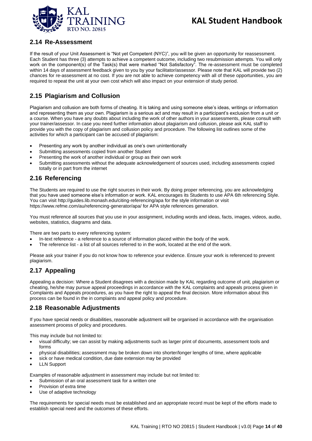

#### <span id="page-13-0"></span>**2.14 Re-Assessment**

If the result of your Unit Assessment is "Not yet Competent (NYC)", you will be given an opportunity for reassessment. Each Student has three (3) attempts to achieve a competent outcome, including two resubmission attempts. You will only work on the component(s) of the Task(s) that were marked "Not Satisfactory". The re-assessment must be completed within 14 days of assessment feedback given to you by your facilitator/assessor. Please note that KAL will provide two (2) chances for re-assessment at no cost. If you are not able to achieve competency with all of these opportunities, you are required to repeat the unit at your own cost which will also impact on your extension of study period.

### <span id="page-13-1"></span>**2.15 Plagiarism and Collusion**

Plagiarism and collusion are both forms of cheating. It is taking and using someone else's ideas, writings or information and representing them as your own. Plagiarism is a serious act and may result in a participant's exclusion from a unit or a course. When you have any doubts about including the work of other authors in your assessments, please consult with your trainer/assessor. In case you need further information about plagiarism and collusion, please ask KAL staff to provide you with the copy of plagiarism and collusion policy and procedure. The following list outlines some of the activities for which a participant can be accused of plagiarism:

- Presenting any work by another individual as one's own unintentionally
- Submitting assessments copied from another Student
- Presenting the work of another individual or group as their own work
- Submitting assessments without the adequate acknowledgement of sources used, including assessments copied totally or in part from the internet

#### <span id="page-13-2"></span>**2.16 Referencing**

The Students are required to use the right sources in their work. By doing proper referencing, you are acknowledging that you have used someone else's information or work. KAL encourages its Students to use APA 6th referencing Style. You can visit http://guides.lib.monash.edu/citing-referencing/apa for the style information or visit https://www.refme.com/au/referencing-generator/apa/ for APA style references generation.

You must reference all sources that you use in your assignment, including words and ideas, facts, images, videos, audio, websites, statistics, diagrams and data.

There are two parts to every referencing system:

- In-text reference a reference to a source of information placed within the body of the work.
- The reference list a list of all sources referred to in the work, located at the end of the work.

Please ask your trainer if you do not know how to reference your evidence. Ensure your work is referenced to prevent plagiarism.

#### <span id="page-13-3"></span>**2.17 Appealing**

Appealing a decision: Where a Student disagrees with a decision made by KAL regarding outcome of unit, plagiarism or cheating, he/she may pursue appeal proceedings in accordance with the KAL complaints and appeals process given in Complaints and Appeals procedures, as you have the right to appeal the final decision. More information about this process can be found in the in complaints and appeal policy and procedure.

#### <span id="page-13-4"></span>**2.18 Reasonable Adjustments**

If you have special needs or disabilities, reasonable adjustment will be organised in accordance with the organisation assessment process of policy and procedures.

This may include but not limited to:

- visual difficulty; we can assist by making adjustments such as larger print of documents, assessment tools and forms
- physical disabilities; assessment may be broken down into shorter/longer lengths of time, where applicable
- sick or have medical condition, due date extension may be provided
- **LLN Support**

Examples of reasonable adjustment in assessment may include but not limited to:

- Submission of an oral assessment task for a written one
- Provision of extra time
- Use of adaptive technology

The requirements for special needs must be established and an appropriate record must be kept of the efforts made to establish special need and the outcomes of these efforts.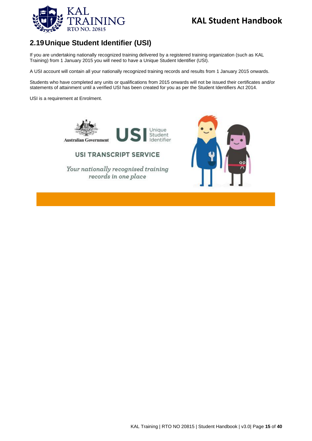

## <span id="page-14-0"></span>**2.19Unique Student Identifier (USI)**

If you are undertaking nationally recognized training delivered by a registered training organization (such as KAL Training) from 1 January 2015 you will need to have a Unique Student Identifier (USI).

A USI account will contain all your nationally recognized training records and results from 1 January 2015 onwards.

Students who have completed any units or qualifications from 2015 onwards will not be issued their certificates and/or statements of attainment until a verified USI has been created for you as per the Student Identifiers Act 2014.

> Unique Student

Identifier

USI is a requirement at Enrolment.



**Australian Government** 

**USI TRANSCRIPT SERVICE** 

Your nationally recognised training records in one place

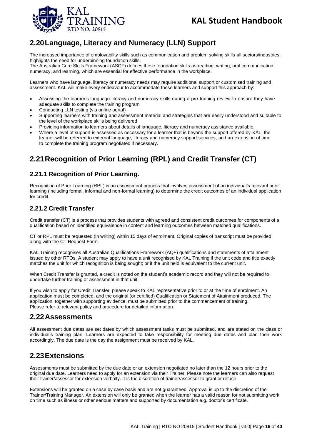

## <span id="page-15-0"></span>**2.20Language, Literacy and Numeracy (LLN) Support**

The increased importance of employability skills such as communication and problem solving skills all sectors/industries, highlights the need for underpinning foundation skills.

The Australian Core Skills Framework (ASCF) defines these foundation skills as reading, writing, oral communication, numeracy, and learning, which are essential for effective performance in the workplace.

Learners who have language, literacy or numeracy needs may require additional support or customised training and assessment. KAL will make every endeavour to accommodate these learners and support this approach by:

- Assessing the learner's language literacy and numeracy skills during a pre-training review to ensure they have adequate skills to complete the training program
- Conducting LLN testing (via online portal)
- Supporting learners with training and assessment material and strategies that are easily understood and suitable to the level of the workplace skills being delivered
- Providing information to learners about details of language, literacy and numeracy assistance available.
- Where a level of support is assessed as necessary for a learner that is beyond the support offered by KAL, the learner will be referred to external language, literacy and numeracy support services, and an extension of time to complete the training program negotiated if necessary.

## <span id="page-15-1"></span>**2.21Recognition of Prior Learning (RPL) and Credit Transfer (CT)**

#### <span id="page-15-2"></span>**2.21.1 Recognition of Prior Learning.**

Recognition of Prior Learning (RPL) is an assessment process that involves assessment of an individual's relevant prior learning (including formal, informal and non-formal learning) to determine the credit outcomes of an individual application for credit.

### <span id="page-15-3"></span>**2.21.2 Credit Transfer**

Credit transfer (CT) is a process that provides students with agreed and consistent credit outcomes for components of a qualification based on identified equivalence in content and learning outcomes between matched qualifications.

CT or RPL must be requested (in writing) within 15 days of enrolment. Original copies of transcript must be provided along with the CT Request Form.

KAL Training recognises all Australian Qualifications Framework (AQF) qualifications and statements of attainment issued by other RTOs. A student may apply to have a unit recognised by KAL Training if the unit code and title exactly matches the unit for which recognition is being sought; or if the unit held is equivalent to the current unit.

When Credit Transfer is granted, a credit is noted on the student's academic record and they will not be required to undertake further training or assessment in that unit.

If you wish to apply for Credit Transfer, please speak to KAL representative prior to or at the time of enrolment. An application must be completed, and the original (or certified) Qualification or Statement of Attainment produced. The application, together with supporting evidence, must be submitted prior to the commencement of training. Please refer to relevant policy and procedure for detailed information.

### <span id="page-15-4"></span>**2.22Assessments**

All assessment due dates are set dates by which assessment tasks must be submitted, and are stated on the class or individual's training plan. Learners are expected to take responsibility for meeting due dates and plan their work accordingly. The due date is the day the assignment must be received by KAL.

## <span id="page-15-5"></span>**2.23Extensions**

Assessments must be submitted by the due date or an extension negotiated no later than the 12 hours prior to the original due date. Learners need to apply for an extension via their Trainer. Please note the learners can also request their trainer/assessor for extension verbally. It is the discretion of trainer/assessor to grant or refuse.

Extensions will be granted on a case by case basis and are not guaranteed. Approval is up to the discretion of the Trainer/Training Manager. An extension will only be granted when the learner has a valid reason for not submitting work on time such as illness or other serious matters and supported by documentation e.g. doctor's certificate.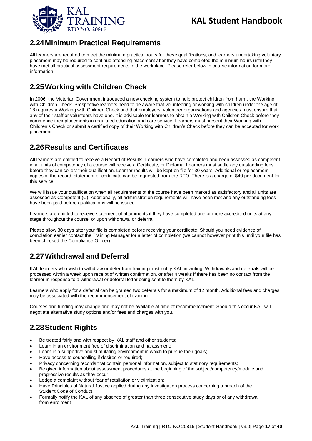

## <span id="page-16-0"></span>**2.24Minimum Practical Requirements**

All learners are required to meet the minimum practical hours for these qualifications, and learners undertaking voluntary placement may be required to continue attending placement after they have completed the minimum hours until they have met all practical assessment requirements in the workplace. Please refer below in course information for more information.

## <span id="page-16-1"></span>**2.25Working with Children Check**

In 2006, the Victorian Government introduced a new checking system to help protect children from harm, the Working with Children Check. Prospective learners need to be aware that volunteering or working with children under the age of 18 requires a Working with Children Check and that employers, volunteer organisations and agencies must ensure that any of their staff or volunteers have one. It is advisable for learners to obtain a Working with Children Check before they commence their placements in regulated education and care service. Learners must present their Working with Children's Check or submit a certified copy of their Working with Children's Check before they can be accepted for work placement.

## <span id="page-16-2"></span>**2.26Results and Certificates**

All learners are entitled to receive a Record of Results. Learners who have completed and been assessed as competent in all units of competency of a course will receive a Certificate, or Diploma. Learners must settle any outstanding fees before they can collect their qualification. Learner results will be kept on file for 30 years. Additional or replacement copies of the record, statement or certificate can be requested from the RTO. There is a charge of \$40 per document for this service.

We will issue your qualification when all requirements of the course have been marked as satisfactory and all units are assessed as Competent (C). Additionally, all administration requirements will have been met and any outstanding fees have been paid before qualifications will be issued.

Learners are entitled to receive statement of attainments if they have completed one or more accredited units at any stage throughout the course, or upon withdrawal or deferral.

Please allow 30 days after your file is completed before receiving your certificate. Should you need evidence of completion earlier contact the Training Manager for a letter of completion (we cannot however print this until your file has been checked the Compliance Officer).

## <span id="page-16-3"></span>**2.27Withdrawal and Deferral**

KAL learners who wish to withdraw or defer from training must notify KAL in writing. Withdrawals and deferrals will be processed within a week upon receipt of written confirmation, or after 4 weeks if there has been no contact from the learner in response to a withdrawal or deferral letter being sent to them by KAL.

Learners who apply for a deferral can be granted two deferrals for a maximum of 12 month. Additional fees and charges may be associated with the recommencement of training.

Courses and funding may change and may not be available at time of recommencement. Should this occur KAL will negotiate alternative study options and/or fees and charges with you.

## <span id="page-16-4"></span>**2.28Student Rights**

- Be treated fairly and with respect by KAL staff and other students;
- Learn in an environment free of discrimination and harassment;
- Learn in a supportive and stimulating environment in which to pursue their goals;
- Have access to counselling if desired or required;
- Privacy concerning records that contain personal information, subject to statutory requirements;
- Be given information about assessment procedures at the beginning of the subject/competency/module and progressive results as they occur;
- Lodge a complaint without fear of retaliation or victimization;
- Have Principles of Natural Justice applied during any investigation process concerning a breach of the Student Code of Conduct.
- Formally notify the KAL of any absence of greater than three consecutive study days or of any withdrawal from enrolment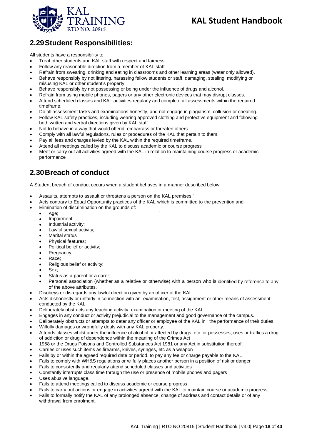

## <span id="page-17-0"></span>**2.29Student Responsibilities:**

All students have a responsibility to:

- Treat other students and KAL staff with respect and fairness
- Follow any reasonable direction from a member of KAL staff
- Refrain from swearing, drinking and eating in classrooms and other learning areas (water only allowed).
- Behave responsibly by not littering, harassing fellow students or staff, damaging, stealing, modifying or misusing KAL or other student's property
- Behave responsibly by not possessing or being under the influence of drugs and alcohol.
- Refrain from using mobile phones, pagers or any other electronic devices that may disrupt classes.
- Attend scheduled classes and KAL activities regularly and complete all assessments within the required timeframe.
- Do all assessment tasks and examinations honestly, and not engage in plagiarism, collusion or cheating.
- Follow KAL safety practices, including wearing approved clothing and protective equipment and following both written and verbal directions given by KAL staff.
- Not to behave in a way that would offend, embarrass or threaten others.
- Comply with all lawful regulations, rules or procedures of the KAL that pertain to them.
- Pay all fees and charges levied by the KAL within the required timeframe.
- Attend all meetings called by the KAL to discuss academic or course progress
- Meet or carry out all activities agreed with the KAL in relation to maintaining course progress or academic performance

## <span id="page-17-1"></span>**2.30Breach of conduct**

A Student breach of conduct occurs when a student behaves in a manner described below:

- Assaults, attempts to assault or threatens a person on the KAL premises.'
- Acts contrary to Equal Opportunity practices of the KAL which is committed to the prevention and
- Elimination of discrimination on the grounds of:
	- Age:
	- Impairment;
	- Industrial activity;
	- Lawful sexual activity;
	- Marital status
	- Physical features;
	- Political belief or activity;
	- Pregnancy;
	- Race;
	- Religious belief or activity;
	- Sex;
	- Status as a parent or a carer;
	- Personal association (whether as a relative or otherwise) with a person who is identified by reference to any of the above attributes.
- Disobeys or disregards any lawful direction given by an officer of the KAL
- Acts dishonestly or unfairly in connection with an examination, test, assignment or other means of assessment conducted by the KAL
- Deliberately obstructs any teaching activity, examination or meeting of the KAL
- Engages in any conduct or activity prejudicial to the management and good governance of the campus.
- Deliberately obstructs or attempts to deter any officer or employee of the KAL in the performance of their duties
- Wilfully damages or wrongfully deals with any KAL property.
- Attends classes whilst under the influence of alcohol or affected by drugs, etc. or possesses, uses or traffics a drug of addiction or drug of dependence within the meaning of the Crimes Act
- 1958 or the Drugs Poisons and Controlled Substances Act 1981 or any Act in substitution thereof.
- Carries or uses such items as firearms, knives, syringes, etc as a weapon
- Fails by or within the agreed required date or period, to pay any fee or charge payable to the KAL
- Fails to comply with WH&S regulations or wilfully places another person in a position of risk or danger
- Fails to consistently and regularly attend scheduled classes and activities
- Constantly interrupts class time through the use or presence of mobile phones and pagers
- Uses abusive language.
- Fails to attend meetings called to discuss academic or course progress
- Fails to carry out actions or engage in activities agreed with the KAL to maintain course or academic progress.
- Fails to formally notify the KAL of any prolonged absence, change of address and contact details or of any withdrawal from enrolment.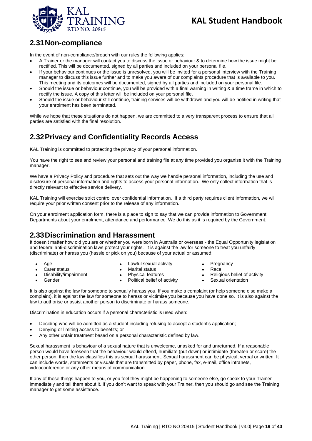

## <span id="page-18-0"></span>**2.31Non-compliance**

In the event of non-compliance/breach with our rules the following applies:

- A Trainer or the manager will contact you to discuss the issue or behaviour & to determine how the issue might be rectified. This will be documented, signed by all parties and included on your personal file.
- If your behaviour continues or the issue is unresolved, you will be invited for a personal interview with the Training manager to discuss this issue further and to make you aware of our complaints procedure that is available to you. This meeting and its outcomes will be documented, signed by all parties and included on your personal file.
- Should the issue or behaviour continue, you will be provided with a final warning in writing & a time frame in which to rectify the issue. A copy of this letter will be included on your personal file.
- Should the issue or behaviour still continue, training services will be withdrawn and you will be notified in writing that your enrolment has been terminated.

While we hope that these situations do not happen, we are committed to a very transparent process to ensure that all parties are satisfied with the final resolution.

## <span id="page-18-1"></span>**2.32Privacy and Confidentiality Records Access**

KAL Training is committed to protecting the privacy of your personal information.

You have the right to see and review your personal and training file at any time provided you organise it with the Training manager.

We have a Privacy Policy and procedure that sets out the way we handle personal information, including the use and disclosure of personal information and rights to access your personal information. We only collect information that is directly relevant to effective service delivery.

KAL Training will exercise strict control over confidential information. If a third party requires client information, we will require your prior written consent prior to the release of any information.

On your enrolment application form, there is a place to sign to say that we can provide information to Government Departments about your enrolment, attendance and performance. We do this as it is required by the Government.

## <span id="page-18-2"></span>**2.33Discrimination and Harassment**

It doesn't matter how old you are or whether you were born in Australia or overseas - the Equal Opportunity legislation and federal anti-discrimination laws protect your rights. It is against the law for someone to treat you unfairly (discriminate) or harass you (hassle or pick on you) because of your actual or assumed:

• Age Carer status

- Lawful sexual activity
	-
- Disability/impairment
- Marital status
- Gender
- Physical features
- Political belief of activity
- **Pregnancy**
- Race
	- Religious belief of activity
- Sexual orientation

It is also against the law for someone to sexually harass you. If you make a complaint (or help someone else make a complaint), it is against the law for someone to harass or victimise you because you have done so. It is also against the law to authorise or assist another person to discriminate or harass someone.

Discrimination in education occurs if a personal characteristic is used when:

- Deciding who will be admitted as a student including refusing to accept a student's application;
- Denying or limiting access to benefits; or
- Any other unfair treatment based on a personal characteristic defined by law.

Sexual harassment is behaviour of a sexual nature that is unwelcome, unasked for and unreturned. If a reasonable person would have foreseen that the behaviour would offend, humiliate (put down) or intimidate (threaten or scare) the other person, then the law classifies this as sexual harassment. Sexual harassment can be physical, verbal or written. It can include words, statements or visuals that are transmitted by paper, phone, fax, e-mail, office intranets, videoconference or any other means of communication.

If any of these things happen to you, or you feel they might be happening to someone else, go speak to your Trainer immediately and tell them about it. If you don't want to speak with your Trainer, then you should go and see the Training manager to get some assistance.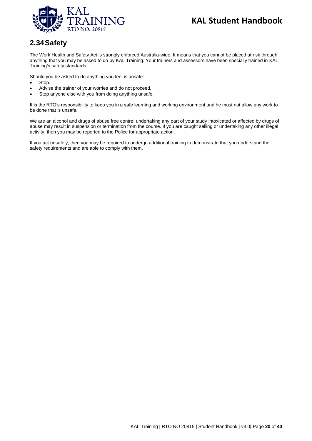

## <span id="page-19-0"></span>**2.34Safety**

The Work Health and Safety Act is strongly enforced Australia-wide. It means that you cannot be placed at risk through anything that you may be asked to do by KAL Training. Your trainers and assessors have been specially trained in KAL Training's safety standards.

Should you be asked to do anything you feel is unsafe:

- Stop.
- Advise the trainer of your worries and do not proceed.
- Stop anyone else with you from doing anything unsafe.

It is the RTO's responsibility to keep you in a safe learning and working environment and he must not allow any work to be done that is unsafe.

We are an alcohol and drugs of abuse free centre: undertaking any part of your study intoxicated or affected by drugs of abuse may result in suspension or termination from the course. If you are caught selling or undertaking any other illegal activity, then you may be reported to the Police for appropriate action.

If you act unsafely, then you may be required to undergo additional training to demonstrate that you understand the safety requirements and are able to comply with them.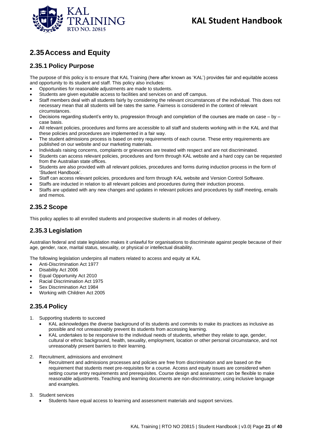

## <span id="page-20-0"></span>**2.35Access and Equity**

#### <span id="page-20-1"></span>**2.35.1 Policy Purpose**

The purpose of this policy is to ensure that KAL Training (here after known as 'KAL') provides fair and equitable access and opportunity to its student and staff. This policy also includes:

- Opportunities for reasonable adjustments are made to students.
- Students are given equitable access to facilities and services on and off campus.
- Staff members deal with all students fairly by considering the relevant circumstances of the individual. This does not necessary mean that all students will be rates the same. Fairness is considered in the context of relevant circumstances.
- Decisions regarding student's entry to, progression through and completion of the courses are made on case by case basis.
- All relevant policies, procedures and forms are accessible to all staff and students working with in the KAL and that these policies and procedures are implemented in a fair way.
- The student admissions process is based on entry requirements of each course. These entry requirements are published on our website and our marketing materials.
- Individuals raising concerns, complaints or grievances are treated with respect and are not discriminated.
- Students can access relevant policies, procedures and form through KAL website and a hard copy can be requested from the Australian state offices.
- Students are also provided with all relevant policies, procedures and forms during induction process in the form of 'Student Handbook'.
- Staff can access relevant policies, procedures and form through KAL website and Version Control Software.
- Staffs are inducted in relation to all relevant policies and procedures during their induction process.
- Staffs are updated with any new changes and updates in relevant policies and procedures by staff meeting, emails and memos.

### <span id="page-20-2"></span>**2.35.2 Scope**

This policy applies to all enrolled students and prospective students in all modes of delivery.

#### <span id="page-20-3"></span>**2.35.3 Legislation**

Australian federal and state legislation makes it unlawful for organisations to discriminate against people because of their age, gender, race, marital status, sexuality, or physical or intellectual disability.

The following legislation underpins all matters related to access and equity at KAL

- Anti-Discrimination Act 1977
- Disability Act 2006
- Equal Opportunity Act 2010
- Racial Discrimination Act 1975
- Sex Discrimination Act 1984
- Working with Children Act 2005

### <span id="page-20-4"></span>**2.35.4 Policy**

- 1. Supporting students to succeed
	- KAL acknowledges the diverse background of its students and commits to make its practices as inclusive as possible and not unreasonably prevent its students from accessing learning.
	- KAL undertakes to be responsive to the individual needs of students, whether they relate to age, gender, cultural or ethnic background, health, sexuality, employment, location or other personal circumstance, and not unreasonably present barriers to their learning.
- 2. Recruitment, admissions and enrolment
	- Recruitment and admissions processes and policies are free from discrimination and are based on the requirement that students meet pre-requisites for a course. Access and equity issues are considered when setting course entry requirements and prerequisites. Course design and assessment can be flexible to make reasonable adjustments. Teaching and learning documents are non-discriminatory, using inclusive language and examples.
- 3. Student services
	- Students have equal access to learning and assessment materials and support services.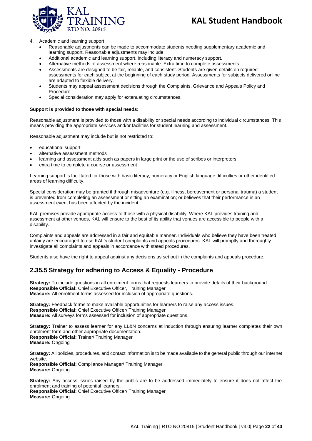

#### 4. Academic and learning support

- Reasonable adjustments can be made to accommodate students needing supplementary academic and learning support. Reasonable adjustments may include:
- Additional academic and learning support, including literacy and numeracy support.
- Alternative methods of assessment where reasonable. Extra time to complete assessments.
- Assessments are designed to be fair, reliable, and consistent. Students are given details on required assessments for each subject at the beginning of each study period. Assessments for subjects delivered online are adapted to flexible delivery.
- Students may appeal assessment decisions through the Complaints, Grievance and Appeals Policy and Procedure.
- Special consideration may apply for extenuating circumstances.

#### **Support is provided to those with special needs:**

Reasonable adjustment is provided to those with a disability or special needs according to individual circumstances. This means providing the appropriate services and/or facilities for student learning and assessment.

Reasonable adjustment may include but is not restricted to:

- educational support
- alternative assessment methods
- learning and assessment aids such as papers in large print or the use of scribes or interpreters
- extra time to complete a course or assessment

Learning support is facilitated for those with basic literacy, numeracy or English language difficulties or other identified areas of learning difficulty.

Special consideration may be granted if through misadventure (e.g. illness, bereavement or personal trauma) a student is prevented from completing an assessment or sitting an examination; or believes that their performance in an assessment event has been affected by the incident.

KAL premises provide appropriate access to those with a physical disability. Where KAL provides training and assessment at other venues, KAL will ensure to the best of its ability that venues are accessible to people with a disability.

Complaints and appeals are addressed in a fair and equitable manner. Individuals who believe they have been treated unfairly are encouraged to use KAL's student complaints and appeals procedures. KAL will promptly and thoroughly investigate all complaints and appeals in accordance with stated procedures.

Students also have the right to appeal against any decisions as set out in the complaints and appeals procedure.

#### <span id="page-21-0"></span>**2.35.5 Strategy for adhering to Access & Equality - Procedure**

**Strategy:** To include questions in all enrolment forms that requests learners to provide details of their background. **Responsible Official:** Chief Executive Officer, Training Manager **Measure:** All enrolment forms assessed for inclusion of appropriate questions.

**Strategy:** Feedback forms to make available opportunities for learners to raise any access issues. **Responsible Official:** Chief Executive Officer/ Training Manager **Measure:** All surveys forms assessed for inclusion of appropriate questions.

**Strategy:** Trainer to assess learner for any LL&N concerns at induction through ensuring learner completes their own enrolment form and other appropriate documentation. **Responsible Official:** Trainer/ Training Manager **Measure:** Ongoing

**Strategy:** All policies, procedures, and contact information is to be made available to the general public through our internet website.

**Responsible Official:** Compliance Manager/ Training Manager **Measure:** Ongoing

**Strategy:** Any access issues raised by the public are to be addressed immediately to ensure it does not affect the enrolment and training of potential learners.

**Responsible Official:** Chief Executive Officer/ Training Manager **Measure:** Ongoing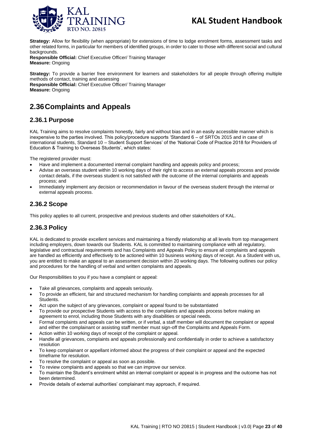

**Strategy:** Allow for flexibility (when appropriate) for extensions of time to lodge enrolment forms, assessment tasks and other related forms, in particular for members of identified groups, in order to cater to those with different social and cultural backgrounds.

**Responsible Official:** Chief Executive Officer/ Training Manager **Measure:** Ongoing

**Strategy:** To provide a barrier free environment for learners and stakeholders for all people through offering multiple methods of contact, training and assessing **Responsible Official:** Chief Executive Officer/ Training Manager **Measure:** Ongoing

## <span id="page-22-0"></span>**2.36Complaints and Appeals**

#### <span id="page-22-1"></span>**2.36.1 Purpose**

KAL Training aims to resolve complaints honestly, fairly and without bias and in an easily accessible manner which is inexpensive to the parties involved. This policy/procedure supports 'Standard 6 – of SRTOs 2015 and in case of international students, Standard 10 – Student Support Services' of the 'National Code of Practice 2018 for Providers of Education & Training to Overseas Students', which states:

The registered provider must:

- Have and implement a documented internal complaint handling and appeals policy and process;
- Advise an overseas student within 10 working days of their right to access an external appeals process and provide contact details, if the overseas student is not satisfied with the outcome of the internal complaints and appeals process; and
- Immediately implement any decision or recommendation in favour of the overseas student through the internal or external appeals process.

#### <span id="page-22-2"></span>**2.36.2 Scope**

This policy applies to all current, prospective and previous students and other stakeholders of KAL.

#### <span id="page-22-3"></span>**2.36.3 Policy**

KAL is dedicated to provide excellent services and maintaining a friendly relationship at all levels from top management including employers, down towards our Students. KAL is committed to maintaining compliance with all regulatory, legislative and contractual requirements and has Complaints and Appeals Policy to ensure all complaints and appeals are handled as efficiently and effectively to be actioned within 10 business working days of receipt. As a Student with us, you are entitled to make an appeal to an assessment decision within 20 working days. The following outlines our policy and procedures for the handling of verbal and written complaints and appeals.

Our Responsibilities to you if you have a complaint or appeal:

- Take all grievances, complaints and appeals seriously.
- To provide an efficient, fair and structured mechanism for handling complaints and appeals processes for all Students.
- Act upon the subject of any grievances, complaint or appeal found to be substantiated
- To provide our prospective Students with access to the complaints and appeals process before making an agreement to enrol, including those Students with any disabilities or special needs.
- Formal complaints and appeals can be written, or if verbal, a staff member will document the complaint or appeal and either the complainant or assisting staff member must sign-off the Complaints and Appeals Form.
- Action within 10 working days of receipt of the complaint or appeal.
- Handle all grievances, complaints and appeals professionally and confidentially in order to achieve a satisfactory resolution
- To keep complainant or appellant informed about the progress of their complaint or appeal and the expected timeframe for resolution.
- To resolve the complaint or appeal as soon as possible.
- To review complaints and appeals so that we can improve our service.
- To maintain the Student's enrolment whilst an internal complaint or appeal is in progress and the outcome has not been determined.
- Provide details of external authorities' complainant may approach, if required.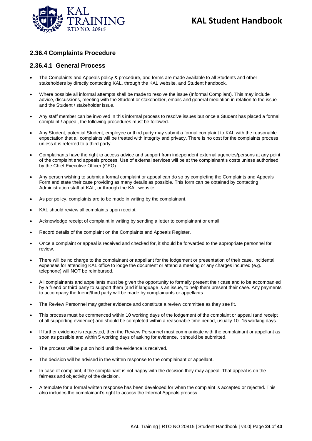

#### <span id="page-23-0"></span>**2.36.4 Complaints Procedure**

#### **2.36.4.1 General Process**

- The Complaints and Appeals policy & procedure, and forms are made available to all Students and other stakeholders by directly contacting KAL, through the KAL website, and Student handbook.
- Where possible all informal attempts shall be made to resolve the issue (Informal Compliant). This may include advice, discussions, meeting with the Student or stakeholder, emails and general mediation in relation to the issue and the Student / stakeholder issue.
- Any staff member can be involved in this informal process to resolve issues but once a Student has placed a formal complaint / appeal, the following procedures must be followed.
- Any Student, potential Student, employee or third party may submit a formal complaint to KAL with the reasonable expectation that all complaints will be treated with integrity and privacy. There is no cost for the complaints process unless it is referred to a third party.
- Complainants have the right to access advice and support from independent external agencies/persons at any point of the complaint and appeals process. Use of external services will be at the complainant's costs unless authorised by the Chief Executive Officer (CEO).
- Any person wishing to submit a formal complaint or appeal can do so by completing the Complaints and Appeals Form and state their case providing as many details as possible. This form can be obtained by contacting Administration staff at KAL, or through the KAL website.
- As per policy, complaints are to be made in writing by the complainant.
- KAL should review all complaints upon receipt.
- Acknowledge receipt of complaint in writing by sending a letter to complainant or email.
- Record details of the complaint on the Complaints and Appeals Register.
- Once a complaint or appeal is received and checked for, it should be forwarded to the appropriate personnel for review.
- There will be no charge to the complainant or appellant for the lodgement or presentation of their case. Incidental expenses for attending KAL office to lodge the document or attend a meeting or any charges incurred (e.g. telephone) will NOT be reimbursed.
- All complainants and appellants must be given the opportunity to formally present their case and to be accompanied by a friend or third party to support them (and if language is an issue, to help them present their case. Any payments to accompany the friend/third party will be made by complainants or appellants.
- The Review Personnel may gather evidence and constitute a review committee as they see fit.
- This process must be commenced within 10 working days of the lodgement of the complaint or appeal (and receipt of all supporting evidence) and should be completed within a reasonable time period, usually 10- 15 working days.
- If further evidence is requested, then the Review Personnel must communicate with the complainant or appellant as soon as possible and within 5 working days of asking for evidence, it should be submitted.
- The process will be put on hold until the evidence is received.
- The decision will be advised in the written response to the complainant or appellant.
- In case of complaint, if the complainant is not happy with the decision they may appeal. That appeal is on the fairness and objectivity of the decision.
- A template for a formal written response has been developed for when the complaint is accepted or rejected. This also includes the complainant's right to access the Internal Appeals process.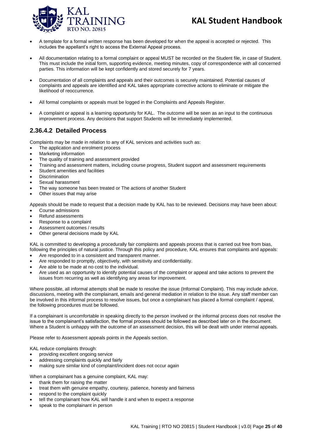

- A template for a formal written response has been developed for when the appeal is accepted or rejected. This includes the appellant's right to access the External Appeal process.
- All documentation relating to a formal complaint or appeal MUST be recorded on the Student file, in case of Student. This must include the initial form, supporting evidence, meeting minutes, copy of correspondence with all concerned parties. This information will be kept confidently and stored securely for 7 years.
- Documentation of all complaints and appeals and their outcomes is securely maintained. Potential causes of complaints and appeals are identified and KAL takes appropriate corrective actions to eliminate or mitigate the likelihood of reoccurrence.
- All formal complaints or appeals must be logged in the Complaints and Appeals Register.
- A complaint or appeal is a learning opportunity for KAL. The outcome will be seen as an input to the continuous improvement process. Any decisions that support Students will be immediately implemented.

#### **2.36.4.2 Detailed Process**

Complaints may be made in relation to any of KAL services and activities such as:

- The application and enrolment process
- Marketing information
- The quality of training and assessment provided
- Training and assessment matters, including course progress, Student support and assessment requirements
- Student amenities and facilities
- **Discrimination**
- Sexual harassment
- The way someone has been treated or The actions of another Student
- Other issues that may arise

Appeals should be made to request that a decision made by KAL has to be reviewed. Decisions may have been about:

- Course admissions
- Refund assessments
- Response to a complaint
- Assessment outcomes / results
- Other general decisions made by KAL

KAL is committed to developing a procedurally fair complaints and appeals process that is carried out free from bias, following the principles of natural justice. Through this policy and procedure, KAL ensures that complaints and appeals:

- Are responded to in a consistent and transparent manner.
- Are responded to promptly, objectively, with sensitivity and confidentiality.
- Are able to be made at no cost to the individual.
- Are used as an opportunity to identify potential causes of the complaint or appeal and take actions to prevent the issues from recurring as well as identifying any areas for improvement.

Where possible, all informal attempts shall be made to resolve the issue (Informal Complaint). This may include advice, discussions, meeting with the complainant, emails and general mediation in relation to the issue. Any staff member can be involved in this informal process to resolve issues, but once a complainant has placed a formal complaint / appeal, the following procedures must be followed.

If a complainant is uncomfortable in speaking directly to the person involved or the informal process does not resolve the issue to the complainant's satisfaction, the formal process should be followed as described later on in the document. Where a Student is unhappy with the outcome of an assessment decision, this will be dealt with under internal appeals.

Please refer to Assessment appeals points in the Appeals section.

KAL reduce complaints through:

- providing excellent ongoing service
- addressing complaints quickly and fairly
- making sure similar kind of complaint/incident does not occur again

When a complainant has a genuine complaint, KAL may:

- thank them for raising the matter
- treat them with genuine empathy, courtesy, patience, honesty and fairness
- respond to the complaint quickly
- tell the complainant how KAL will handle it and when to expect a response
- speak to the complainant in person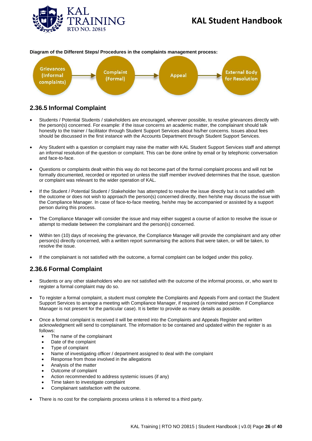



#### **Diagram of the Different Steps/ Procedures in the complaints management process:**

### <span id="page-25-0"></span>**2.36.5 Informal Complaint**

- Students / Potential Students / stakeholders are encouraged, wherever possible, to resolve grievances directly with the person(s) concerned. For example: if the issue concerns an academic matter, the complainant should talk honestly to the trainer / facilitator through Student Support Services about his/her concerns. Issues about fees should be discussed in the first instance with the Accounts Department through Student Support Services.
- Any Student with a question or complaint may raise the matter with KAL Student Support Services staff and attempt an informal resolution of the question or complaint. This can be done online by email or by telephonic conversation and face-to-face.
- Questions or complaints dealt within this way do not become part of the formal complaint process and will not be formally documented, recorded or reported on unless the staff member involved determines that the issue, question or complaint was relevant to the wider operation of KAL.
- If the Student / Potential Student / Stakeholder has attempted to resolve the issue directly but is not satisfied with the outcome or does not wish to approach the person(s) concerned directly, then he/she may discuss the issue with the Compliance Manager. In case of face-to-face meeting, he/she may be accompanied or assisted by a support person during this process.
- The Compliance Manager will consider the issue and may either suggest a course of action to resolve the issue or attempt to mediate between the complainant and the person(s) concerned.
- Within ten (10) days of receiving the grievance, the Compliance Manager will provide the complainant and any other person(s) directly concerned, with a written report summarising the actions that were taken, or will be taken, to resolve the issue.
- If the complainant is not satisfied with the outcome, a formal complaint can be lodged under this policy.

### <span id="page-25-1"></span>**2.36.6 Formal Complaint**

- Students or any other stakeholders who are not satisfied with the outcome of the informal process, or, who want to register a formal complaint may do so.
- To register a formal complaint, a student must complete the Complaints and Appeals Form and contact the Student Support Services to arrange a meeting with Compliance Manager, if required (a nominated person if Compliance Manager is not present for the particular case). It is better to provide as many details as possible.
- Once a formal complaint is received it will be entered into the Complaints and Appeals Register and written acknowledgment will send to complainant. The information to be contained and updated within the register is as follows:
	- The name of the complainant
	- Date of the complaint
	- Type of complaint
	- Name of investigating officer / department assigned to deal with the complaint
	- Response from those involved in the allegations
	- Analysis of the matter
	- Outcome of complaint
	- Action recommended to address systemic issues (if any)
	- Time taken to investigate complaint
	- Complainant satisfaction with the outcome.
- There is no cost for the complaints process unless it is referred to a third party.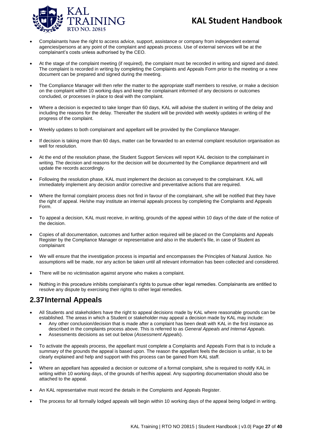

- Complainants have the right to access advice, support, assistance or company from independent external agencies/persons at any point of the complaint and appeals process. Use of external services will be at the complainant's costs unless authorised by the CEO.
- At the stage of the complaint meeting (if required), the complaint must be recorded in writing and signed and dated. The complaint is recorded in writing by completing the Complaints and Appeals Form prior to the meeting or a new document can be prepared and signed during the meeting.
- The Compliance Manager will then refer the matter to the appropriate staff members to resolve, or make a decision on the complaint within 10 working days and keep the complainant informed of any decisions or outcomes concluded, or processes in place to deal with the complaint.
- Where a decision is expected to take longer than 60 days, KAL will advise the student in writing of the delay and including the reasons for the delay. Thereafter the student will be provided with weekly updates in writing of the progress of the complaint.
- Weekly updates to both complainant and appellant will be provided by the Compliance Manager.
- If decision is taking more than 60 days, matter can be forwarded to an external complaint resolution organisation as well for resolution.
- At the end of the resolution phase, the Student Support Services will report KAL decision to the complainant in writing. The decision and reasons for the decision will be documented by the Compliance department and will update the records accordingly.
- Following the resolution phase, KAL must implement the decision as conveyed to the complainant. KAL will immediately implement any decision and/or corrective and preventative actions that are required.
- Where the formal complaint process does not find in favour of the complainant, s/he will be notified that they have the right of appeal. He/she may institute an internal appeals process by completing the Complaints and Appeals Form.
- To appeal a decision, KAL must receive, in writing, grounds of the appeal within 10 days of the date of the notice of the decision.
- Copies of all documentation, outcomes and further action required will be placed on the Complaints and Appeals Register by the Compliance Manager or representative and also in the student's file, in case of Student as complainant
- We will ensure that the investigation process is impartial and encompasses the Principles of Natural Justice. No assumptions will be made, nor any action be taken until all relevant information has been collected and considered.
- There will be no victimisation against anyone who makes a complaint.
- Nothing in this procedure inhibits complainant's rights to pursue other legal remedies. Complainants are entitled to resolve any dispute by exercising their rights to other legal remedies.

## <span id="page-26-0"></span>**2.37Internal Appeals**

- All Students and stakeholders have the right to appeal decisions made by KAL where reasonable grounds can be established. The areas in which a Student or stakeholder may appeal a decision made by KAL may include:
	- Any other conclusion/decision that is made after a complaint has been dealt with KAL in the first instance as described in the complaints process above. This is referred to as *General Appeals and Internal Appeals.*
	- Assessments decisions as set out below (*Assessment Appeals*).
- To activate the appeals process, the appellant must complete a Complaints and Appeals Form that is to include a summary of the grounds the appeal is based upon. The reason the appellant feels the decision is unfair, is to be clearly explained and help and support with this process can be gained from KAL staff.
- •
- Where an appellant has appealed a decision or outcome of a formal complaint, s/he is required to notify KAL in writing within 10 working days, of the grounds of her/his appeal. Any supporting documentation should also be attached to the appeal.
- An KAL representative must record the details in the Complaints and Appeals Register.
- The process for all formally lodged appeals will begin within 10 working days of the appeal being lodged in writing.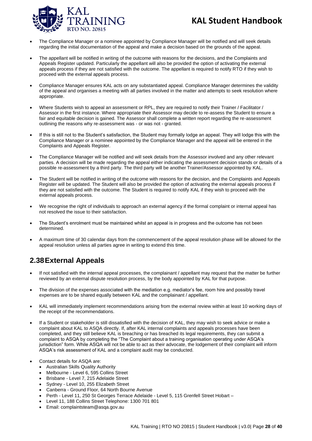

- The Compliance Manager or a nominee appointed by Compliance Manager will be notified and will seek details regarding the initial documentation of the appeal and make a decision based on the grounds of the appeal.
- The appellant will be notified in writing of the outcome with reasons for the decisions, and the Complaints and Appeals Register updated. Particularly the appellant will also be provided the option of activating the external appeals process if they are not satisfied with the outcome. The appellant is required to notify RTO if they wish to proceed with the external appeals process.
- Compliance Manager ensures KAL acts on any substantiated appeal. Compliance Manager determines the validity of the appeal and organises a meeting with all parties involved in the matter and attempts to seek resolution where appropriate.
- Where Students wish to appeal an assessment or RPL, they are required to notify their Trainer / Facilitator / Assessor in the first instance. Where appropriate their Assessor may decide to re-assess the Student to ensure a fair and equitable decision is gained. The Assessor shall complete a written report regarding the re-assessment outlining the reasons why re-assessment was - or was not - granted.
- If this is still not to the Student's satisfaction, the Student may formally lodge an appeal. They will lodge this with the Compliance Manager or a nominee appointed by the Compliance Manager and the appeal will be entered in the Complaints and Appeals Register.
- The Compliance Manager will be notified and will seek details from the Assessor involved and any other relevant parties. A decision will be made regarding the appeal either indicating the assessment decision stands or details of a possible re-assessment by a third party. The third party will be another Trainer/Assessor appointed by KAL.
- The Student will be notified in writing of the outcome with reasons for the decision, and the Complaints and Appeals Register will be updated. The Student will also be provided the option of activating the external appeals process if they are not satisfied with the outcome. The Student is required to notify KAL if they wish to proceed with the external appeals process.
- We recognise the right of individuals to approach an external agency if the formal complaint or internal appeal has not resolved the issue to their satisfaction.
- The Student's enrolment must be maintained whilst an appeal is in progress and the outcome has not been determined.
- A maximum time of 30 calendar days from the commencement of the appeal resolution phase will be allowed for the appeal resolution unless all parties agree in writing to extend this time.

## <span id="page-27-0"></span>**2.38External Appeals**

- If not satisfied with the internal appeal processes, the complainant / appellant may request that the matter be further reviewed by an external dispute resolution process, by the body appointed by KAL for that purpose.
- The division of the expenses associated with the mediation e.g. mediator's fee, room hire and possibly travel expenses are to be shared equally between KAL and the complainant / appellant.
- KAL will immediately implement recommendations arising from the external review within at least 10 working days of the receipt of the recommendations.
- If a Student or stakeholder is still dissatisfied with the decision of KAL, they may wish to seek advice or make a complaint about KAL to ASQA directly. If, after KAL internal complaints and appeals processes have been completed, and they still believe KAL is breaching or has breached its legal requirements, they can submit a complaint to ASQA by completing the "The Complaint about a training organisation operating under ASQA's jurisdiction" form. While ASQA will not be able to act as their advocate, the lodgement of their complaint will inform ASQA's risk assessment of KAL and a complaint audit may be conducted.
- Contact details for ASQA are:
	- Australian Skills Quality Authority
	- Melbourne Level 6, 595 Collins Street
	- Brisbane Level 7, 215 Adelaide Street
	- Sydney Level 10, 255 Elizabeth Street
	- Canberra Ground Floor, 64 North Bourne Avenue
	- Perth Level 11, 250 St Georges Terrace Adelaide Level 5, 115 Grenfell Street Hobart –
	- Level 11, 188 Collins Street Telephone: 1300 701 801
	- Email: complaintsteam@asqa.gov.au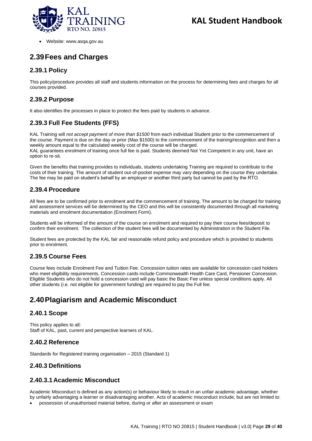

• Website: www.asqa.gov.au

## <span id="page-28-0"></span>**2.39Fees and Charges**

### <span id="page-28-1"></span>**2.39.1 Policy**

This policy/procedure provides all staff and students information on the process for determining fees and charges for all courses provided.

#### <span id="page-28-2"></span>**2.39.2 Purpose**

It also identifies the processes in place to protect the fees paid by students in advance.

### <span id="page-28-3"></span>**2.39.3 Full Fee Students (FFS)**

KAL Training will *not accept payment of more than \$1500* from each individual Student prior to the commencement of the course. Payment is due on the day or prior (Max \$1500) to the commencement of the training/recognition and then a weekly amount equal to the calculated weekly cost of the course will be charged. KAL guarantees enrolment of training once full fee is paid. Students deemed Not Yet Competent in any unit, have an option to re-sit.

Given the benefits that training provides to individuals, students undertaking Training are required to contribute to the costs of their training. The amount of student out-of-pocket expense may vary depending on the course they undertake. The fee may be paid on student's behalf by an employer or another third party but cannot be paid by the RTO.

#### <span id="page-28-4"></span>**2.39.4 Procedure**

All fees are to be confirmed prior to enrolment and the commencement of training. The amount to be charged for training and assessment services will be determined by the CEO and this will be consistently documented through all marketing materials and enrolment documentation (Enrolment Form).

Students will be informed of the amount of the course on enrolment and required to pay their course fees/deposit to confirm their enrolment. The collection of the student fees will be documented by Administration in the Student File.

Student fees are protected by the KAL fair and reasonable refund policy and procedure which is provided to students prior to enrolment.

### <span id="page-28-5"></span>**2.39.5 Course Fees**

Course fees include Enrolment Fee and Tuition Fee. Concession tuition rates are available for concession card holders who meet eligibility requirements. Concession cards include Commonwealth Health Care Card, Pensioner Concession. Eligible Students who do not hold a concession card will pay basic the Basic Fee unless special conditions apply. All other students (i.e. not eligible for government funding) are required to pay the Full fee.

## <span id="page-28-6"></span>**2.40Plagiarism and Academic Misconduct**

#### <span id="page-28-7"></span>**2.40.1 Scope**

This policy applies to all: Staff of KAL, past, current and perspective learners of KAL.

#### <span id="page-28-8"></span>**2.40.2 Reference**

Standards for Registered training organisation – 2015 (Standard 1)

#### <span id="page-28-9"></span>**2.40.3 Definitions**

#### **2.40.3.1Academic Misconduct**

Academic Misconduct is defined as any action(s) or behaviour likely to result in an unfair academic advantage, whether by unfairly advantaging a learner or disadvantaging another. Acts of academic misconduct include, but are not limited to: • possession of unauthorised material before, during or after an assessment or exam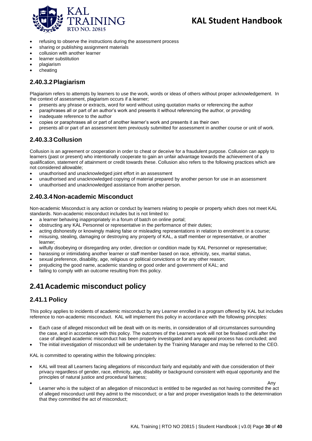

- refusing to observe the instructions during the assessment process
- sharing or publishing assignment materials
- collusion with another learner
- learner substitution
- plagiarism
- cheating

#### **2.40.3.2Plagiarism**

Plagiarism refers to attempts by learners to use the work, words or ideas of others without proper acknowledgement. In the context of assessment, plagiarism occurs if a learner;

- presents any phrase or extracts, word for word without using quotation marks or referencing the author
- paraphrases all or part of an author's work and presents it without referencing the author, or providing
- inadequate reference to the author
- copies or paraphrases all or part of another learner's work and presents it as their own
- presents all or part of an assessment item previously submitted for assessment in another course or unit of work.

### **2.40.3.3Collusion**

Collusion is an agreement or cooperation in order to cheat or deceive for a fraudulent purpose. Collusion can apply to learners (past or present) who intentionally cooperate to gain an unfair advantage towards the achievement of a qualification, statement of attainment or credit towards these. Collusion also refers to the following practices which are not considered allowable;

- unauthorised and unacknowledged joint effort in an assessment
- unauthorised and unacknowledged copying of material prepared by another person for use in an assessment
- unauthorised and unacknowledged assistance from another person.

### **2.40.3.4Non-academic Misconduct**

Non-academic Misconduct is any action or conduct by learners relating to people or property which does not meet KAL standards. Non-academic misconduct includes but is not limited to:

- a learner behaving inappropriately in a forum of batch on online portal;
- obstructing any KAL Personnel or representative in the performance of their duties;
- acting dishonestly or knowingly making false or misleading representations in relation to enrolment in a course;
- misusing, stealing, damaging or destroying any property of KAL, a staff member or representative, or another learner;
- wilfully disobeying or disregarding any order, direction or condition made by KAL Personnel or representative;
- harassing or intimidating another learner or staff member based on race, ethnicity, sex, marital status,
- sexual preference, disability, age, religious or political convictions or for any other reason;
- prejudicing the good name, academic standing or good order and government of KAL; and
- failing to comply with an outcome resulting from this policy.

## <span id="page-29-0"></span>**2.41Academic misconduct policy**

#### <span id="page-29-1"></span>**2.41.1 Policy**

This policy applies to incidents of academic misconduct by any Learner enrolled in a program offered by KAL but includes reference to non-academic misconduct. KAL will implement this policy in accordance with the following principles:

- Each case of alleged misconduct will be dealt with on its merits, in consideration of all circumstances surrounding the case, and in accordance with this policy. The outcomes of the Learners work will not be finalised until after the case of alleged academic misconduct has been properly investigated and any appeal process has concluded; and
- The initial investigation of misconduct will be undertaken by the Training Manager and may be referred to the CEO.

KAL is committed to operating within the following principles:

- KAL will treat all Learners facing allegations of misconduct fairly and equitably and with due consideration of their privacy regardless of gender, race, ethnicity, age, disability or background consistent with equal opportunity and the principles of natural justice and procedural fairness;
- Any

Learner who is the subject of an allegation of misconduct is entitled to be regarded as not having committed the act of alleged misconduct until they admit to the misconduct; or a fair and proper investigation leads to the determination that they committed the act of misconduct;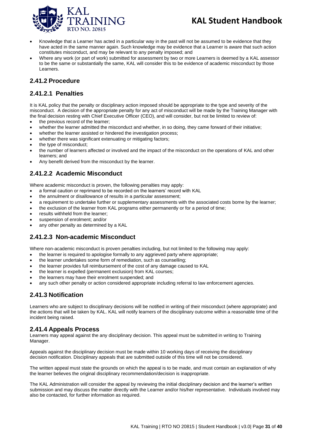

- Knowledge that a Learner has acted in a particular way in the past will not be assumed to be evidence that they have acted in the same manner again. Such knowledge may be evidence that a Learner is aware that such action constitutes misconduct, and may be relevant to any penalty imposed; and
- Where any work (or part of work) submitted for assessment by two or more Learners is deemed by a KAL assessor to be the same or substantially the same, KAL will consider this to be evidence of academic misconduct by those Learners.

#### <span id="page-30-0"></span>**2.41.2 Procedure**

#### **2.41.2.1 Penalties**

It is KAL policy that the penalty or disciplinary action imposed should be appropriate to the type and severity of the misconduct. A decision of the appropriate penalty for any act of misconduct will be made by the Training Manager with the final decision resting with Chief Executive Officer (CEO), and will consider, but not be limited to review of:

- the previous record of the learner;
- whether the learner admitted the misconduct and whether, in so doing, they came forward of their initiative;
- whether the learner assisted or hindered the investigation process;
- whether there was significant extenuating or mitigating factors;
- the type of misconduct:
- the number of learners affected or involved and the impact of the misconduct on the operations of KAL and other learners; and
- Any benefit derived from the misconduct by the learner.

### **2.41.2.2 Academic Misconduct**

Where academic misconduct is proven, the following penalties may apply:

- a formal caution or reprimand to be recorded on the learners' record with KAL
- the annulment or disallowance of results in a particular assessment;
- a requirement to undertake further or supplementary assessments with the associated costs borne by the learner;
- the exclusion of the learner from KAL programs either permanently or for a period of time;
- results withheld from the learner;
- suspension of enrolment; and/or
- any other penalty as determined by a KAL

#### **2.41.2.3 Non-academic Misconduct**

Where non-academic misconduct is proven penalties including, but not limited to the following may apply:

- the learner is required to apologise formally to any aggrieved party where appropriate;
- the learner undertakes some form of remediation, such as counselling;
- the learner provides full reimbursement of the cost of any damage caused to KAL
- the learner is expelled (permanent exclusion) from KAL courses;
- the learners may have their enrolment suspended; and
- any such other penalty or action considered appropriate including referral to law enforcement agencies.

#### <span id="page-30-1"></span>**2.41.3 Notification**

Learners who are subject to disciplinary decisions will be notified in writing of their misconduct (where appropriate) and the actions that will be taken by KAL. KAL will notify learners of the disciplinary outcome within a reasonable time of the incident being raised.

#### <span id="page-30-2"></span>**2.41.4 Appeals Process**

Learners may appeal against the any disciplinary decision. This appeal must be submitted in writing to Training Manager.

Appeals against the disciplinary decision must be made within 10 working days of receiving the disciplinary decision notification. Disciplinary appeals that are submitted outside of this time will not be considered.

The written appeal must state the grounds on which the appeal is to be made, and must contain an explanation of why the learner believes the original disciplinary recommendation/decision is inappropriate.

The KAL Administration will consider the appeal by reviewing the initial disciplinary decision and the learner's written submission and may discuss the matter directly with the Learner and/or his/her representative. Individuals involved may also be contacted, for further information as required.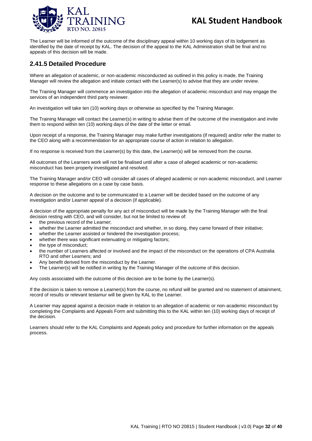

The Learner will be informed of the outcome of the disciplinary appeal within 10 working days of its lodgement as identified by the date of receipt by KAL. The decision of the appeal to the KAL Administration shall be final and no appeals of this decision will be made.

#### <span id="page-31-0"></span>**2.41.5 Detailed Procedure**

Where an allegation of academic, or non-academic misconducted as outlined in this policy is made, the Training Manager will review the allegation and initiate contact with the Learner(s) to advise that they are under review.

The Training Manager will commence an investigation into the allegation of academic misconduct and may engage the services of an independent third party reviewer.

An investigation will take ten (10) working days or otherwise as specified by the Training Manager.

The Training Manager will contact the Learner(s) in writing to advise them of the outcome of the investigation and invite them to respond within ten (10) working days of the date of the letter or email.

Upon receipt of a response, the Training Manager may make further investigations (if required) and/or refer the matter to the CEO along with a recommendation for an appropriate course of action in relation to allegation.

If no response is received from the Learner(s) by this date, the Learner(s) will be removed from the course.

All outcomes of the Learners work will not be finalised until after a case of alleged academic or non-academic misconduct has been properly investigated and resolved.

The Training Manager and/or CEO will consider all cases of alleged academic or non-academic misconduct, and Learner response to these allegations on a case by case basis.

A decision on the outcome and to be communicated to a Learner will be decided based on the outcome of any investigation and/or Learner appeal of a decision (if applicable).

A decision of the appropriate penalty for any act of misconduct will be made by the Training Manager with the final decision resting with CEO, and will consider, but not be limited to review of:

- the previous record of the Learner;
- whether the Learner admitted the misconduct and whether, in so doing, they came forward of their initiative;
- whether the Learner assisted or hindered the investigation process:
- whether there was significant extenuating or mitigating factors;
- the type of misconduct;
- the number of Learners affected or involved and the impact of the misconduct on the operations of CPA Australia RTO and other Learners; and
- Any benefit derived from the misconduct by the Learner.
- The Learner(s) will be notified in writing by the Training Manager of the outcome of this decision.

Any costs associated with the outcome of this decision are to be borne by the Learner(s).

If the decision is taken to remove a Learner(s) from the course, no refund will be granted and no statement of attainment, record of results or relevant testamur will be given by KAL to the Learner.

A Learner may appeal against a decision made in relation to an allegation of academic or non-academic misconduct by completing the Complaints and Appeals Form and submitting this to the KAL within ten (10) working days of receipt of the decision.

Learners should refer to the KAL Complaints and Appeals policy and procedure for further information on the appeals process.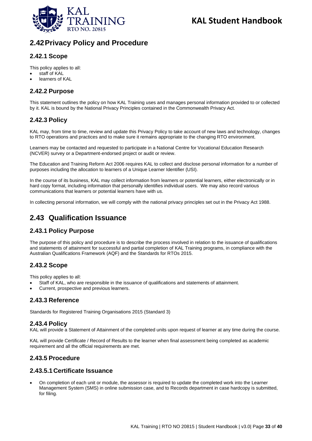

## <span id="page-32-0"></span>**2.42Privacy Policy and Procedure**

### <span id="page-32-1"></span>**2.42.1 Scope**

This policy applies to all:

- staff of KAL
- learners of KAL

#### <span id="page-32-2"></span>**2.42.2 Purpose**

This statement outlines the policy on how KAL Training uses and manages personal information provided to or collected by it. KAL is bound by the National Privacy Principles contained in the Commonwealth Privacy Act.

### <span id="page-32-3"></span>**2.42.3 Policy**

KAL may, from time to time, review and update this Privacy Policy to take account of new laws and technology, changes to RTO operations and practices and to make sure it remains appropriate to the changing RTO environment.

Learners may be contacted and requested to participate in a National Centre for Vocational Education Research (NCVER) survey or a Department-endorsed project or audit or review.

The Education and Training Reform Act 2006 requires KAL to collect and disclose personal information for a number of purposes including the allocation to learners of a Unique Learner Identifier (USI).

In the course of its business, KAL may collect information from learners or potential learners, either electronically or in hard copy format, including information that personally identifies individual users. We may also record various communications that learners or potential learners have with us.

In collecting personal information, we will comply with the national privacy principles set out in the Privacy Act 1988.

## <span id="page-32-4"></span>**2.43 Qualification Issuance**

### <span id="page-32-5"></span>**2.43.1 Policy Purpose**

The purpose of this policy and procedure is to describe the process involved in relation to the issuance of qualifications and statements of attainment for successful and partial completion of KAL Training programs, in compliance with the Australian Qualifications Framework (AQF) and the Standards for RTOs 2015.

#### <span id="page-32-6"></span>**2.43.2 Scope**

This policy applies to all:

- Staff of KAL, who are responsible in the issuance of qualifications and statements of attainment.
- Current, prospective and previous learners.

#### <span id="page-32-7"></span>**2.43.3 Reference**

Standards for Registered Training Organisations 2015 (Standard 3)

#### <span id="page-32-8"></span>**2.43.4 Policy**

KAL will provide a Statement of Attainment of the completed units upon request of learner at any time during the course.

KAL will provide Certificate / Record of Results to the learner when final assessment being completed as academic requirement and all the official requirements are met.

#### <span id="page-32-9"></span>**2.43.5 Procedure**

#### **2.43.5.1Certificate Issuance**

• On completion of each unit or module, the assessor is required to update the completed work into the Learner Management System (SMS) in online submission case, and to Records department in case hardcopy is submitted, for filing.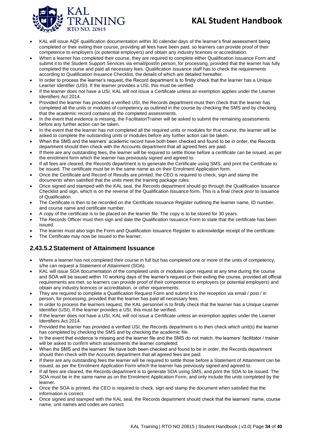

- KAL will issue AQF qualification documentation within 30 calendar days of the learner's final assessment being completed or their exiting their course, providing all fees have been paid, so learners can provide proof of their competence to employers (or potential employers) and obtain any industry licences or accreditation.
- When a learner has completed their course, they are required to complete either Qualification Issuance Form and submit it to the Student Support Services via email/post/in person, for processing, provided that the learner has fully completed the course and paid all necessary fees. Qualification Issuance staff has to check the requirements according to Qualification Issuance Checklist, the details of which are detailed hereafter.
- In order to process the learner's request, the Record department is to firstly check that the learner has a Unique Learner Identifier (USI). If the learner provides a USI, this must be verified.
- If the learner does not have a USI, KAL will not issue a Certificate unless an exemption applies under the Learner Identifiers Act 2014.
- Provided the learner has provided a verified USI, the Records department must then check that the learner has completed all the units or modules of competency as outlined in the course by checking the SMS and by checking that the academic record contains all the completed assessments.
- In the event that evidence is missing, the Facilitator/Trainer will be asked to submit the remaining assessments before any further action can be taken.
- In the event that the learner has not completed all the required units or modules for that course, the learner will be asked to complete the outstanding units or modules before any further action can be taken.
- When the SMS and the learners' academic record have both been checked and found to be in order, the Records department should then check with the Accounts department that all agreed fees are paid.
- If there are any outstanding fees, the learner will be required to settle those before a certificate can be issued, as per the enrolment form which the learner has previously signed and agreed to.
- If all fees are cleared, the Records department is to generate the Certificate using SMS, and print the Certificate to be issued. The certificate must be in the same name as on their Enrolment Application form.
- Once the Certificate and Record of Results are printed, the CEO is required to check, sign and stamp the documents when satisfied that the units meet the training package rules.
- Once signed and stamped with the KAL seal, the Records department should go through the Qualification Issuance Checklist and sign, which is on the reverse of the Qualification Issuance form. This is a final check prior to issuance of Qualification.
- The Certificate is then to be recorded on the Certificate Issuance Register outlining the learner name, ID number, and course name and certificate number.
- A copy of the certificate is to be placed on the learner file. The copy is to be stored for 30 years.
- The Records Officer must then sign and date the Qualification Issuance Form to state that the certificate has been issued.
- The learner must also sign the Form and Qualification Issuance Register to acknowledge receipt of the certificate.
- The Certificate may now be issued to the learner.

### **2.43.5.2Statement of Attainment Issuance**

- Where a learner has not completed their course in full but has completed one or more of the units of competency, s/he can request a Statement of Attainment (SOA).
- KAL will issue SOA documentation of the completed units or modules upon request at any time during the course and SOA will be issued within 10 working days of the learner's request or their exiting the course, provided all official requirements are met, so learners can provide proof of their competence to employers (or potential employers) and obtain any industry licences or accreditation, or other requirements.
- They are required to complete a Qualification Request Form and submit it to the reception via email / post / in person, for processing, provided that the learner has paid all necessary fees.
- In order to process the learners request, the KAL personnel is to firstly check that the learner has a Unique Learner Identifier (USI). If the learner provides a USI, this must be verified.
- If the learner does not have a USI, KAL will not issue a Certificate unless an exemption applies under the Learner Identifiers Act 2014.
- Provided the learner has provided a verified USI, the Records department is to then check which unit(s) the learner has completed by checking the SMS and by checking the academic file.
- In the event that evidence is missing and the learner file and the SMS do not match, the learners' facilitator / trainer will be asked to confirm which assessments the learner completed.
- When the SMS and the learners' file have both been checked and found to be in order, the Records department should then check with the Accounts department that all agreed fees are paid.
- If there are any outstanding fees the learner will be required to settle those before a Statement of Attainment can be issued, as per the Enrolment Application Form which the learner has previously signed and agreed to.
- If all fees are cleared, the Records department is to generate SOA using SMS, and print the SOA to be issued. The SOA must be in the same name as on the Enrolment Application Form, and only include the units completed by the learner.
- Once the SOA is printed, the CEO is required to check, sign and stamp the document when satisfied that the information is correct.
- Once signed and stamped with the KAL seal, the Records department should check that the learners' name, course name, unit names and codes are correct.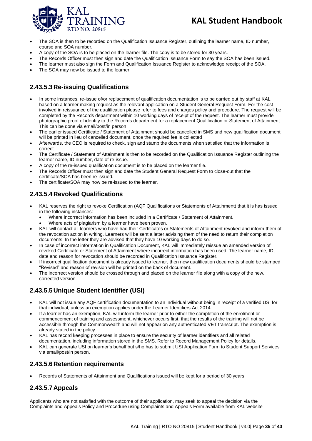

- The SOA is then to be recorded on the Qualification Issuance Register, outlining the learner name, ID number, course and SOA number.
- A copy of the SOA is to be placed on the learner file. The copy is to be stored for 30 years.
- The Records Officer must then sign and date the Qualification Issuance Form to say the SOA has been issued.
- The learner must also sign the Form and Qualification Issuance Register to acknowledge receipt of the SOA.
- The SOA may now be issued to the learner.

### **2.43.5.3Re-issuing Qualifications**

- In some instances, re-issue of/or replacement of qualification documentation is to be carried out by staff at KAL based on a learner making request as the relevant application on a Student General Request Form. For the cost involved in reissuance of the qualification please refer to fees and charges policy and procedure. The request will be completed by the Records department within 10 working days of receipt of the request. The learner must provide photographic proof of identity to the Records department for a replacement Qualification or Statement of Attainment. This can be done via email/post/in person
- The earlier issued Certificate / Statement of Attainment should be cancelled in SMS and new qualification document will be printed in lieu of cancelled document, once the required fee is collected
- Afterwards, the CEO is required to check, sign and stamp the documents when satisfied that the information is correct
- The Certificate / Statement of Attainment is then to be recorded on the Qualification Issuance Register outlining the learner name, ID number, date of re-issue.
- A copy of the re-issued qualification document is to be placed on the learner file.
- The Records Officer must then sign and date the Student General Request Form to close-out that the certificate/SOA has been re-issued.
- The certificate/SOA may now be re-issued to the learner.

### **2.43.5.4Revoked Qualifications**

- KAL reserves the right to revoke Certification (AQF Qualifications or Statements of Attainment) that it is has issued in the following instances:
	- Where incorrect information has been included in a Certificate / Statement of Attainment.
		- Where acts of plagiarism by a learner have been proven.
- KAL will contact all learners who have had their Certificates or Statements of Attainment revoked and inform them of the revocation action in writing. Learners will be sent a letter advising them of the need to return their completion documents. In the letter they are advised that they have 10 working days to do so.
- In case of incorrect information in Qualification Document, KAL will immediately reissue an amended version of revoked Certificate or Statement of Attainment where incorrect information has been used. The learner name, ID, date and reason for revocation should be recorded in Qualification Issuance Register.
- If incorrect qualification document is already issued to learner, then new qualification documents should be stamped "Revised" and reason of revision will be printed on the back of document.
- The incorrect version should be crossed through and placed on the learner file along with a copy of the new, corrected version.

### **2.43.5.5Unique Student Identifier (USI)**

- KAL will not issue any AQF certification documentation to an individual without being in receipt of a verified USI for that individual, unless an exemption applies under the Learner Identifiers Act 2014.
- If a learner has an exemption, KAL will inform the learner prior to either the completion of the enrolment or commencement of training and assessment, whichever occurs first, that the results of the training will not be accessible through the Commonwealth and will not appear on any authenticated VET transcript. The exemption is already stated in the policy.
- KAL has record keeping processes in place to ensure the security of learner identifiers and all related documentation, including information stored in the SMS. Refer to Record Management Policy for details.
- KAL can generate USI on learner's behalf but s/he has to submit USI Application Form to Student Support Services via email/post/in person.

#### **2.43.5.6Retention requirements**

• Records of Statements of Attainment and Qualifications issued will be kept for a period of 30 years.

#### **2.43.5.7Appeals**

Applicants who are not satisfied with the outcome of their application, may seek to appeal the decision via the Complaints and Appeals Policy and Procedure using Complaints and Appeals Form available from KAL website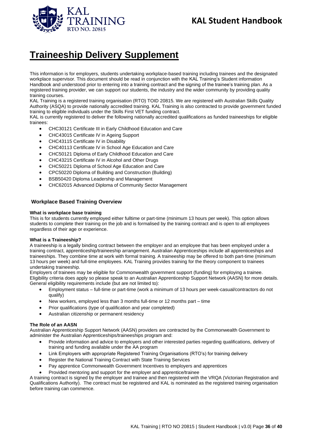

## **Traineeship Delivery Supplement**

This information is for employers, students undertaking workplace-based training including trainees and the designated workplace supervisor. This document should be read in conjunction with the KAL Training's Student information Handbook and understood prior to entering into a training contract and the signing of the trainee's training plan. As a registered training provider, we can support our students, the industry and the wider community by providing quality training courses.

KAL Training is a registered training organisation (RTO) TOID 20815. We are registered with Australian Skills Quality Authority (ASQA) to provide nationally accredited training. KAL Training is also contracted to provide government funded training to eligible individuals under the Skills First VET funding contract.

KAL is currently registered to deliver the following nationally accredited qualifications as funded traineeships for eligible trainees:

- CHC30121 Certificate III in Early Childhood Education and Care
- CHC43015 Certificate IV in Ageing Support
- CHC43115 Certificate IV in Disability
- CHC40113 Certificate IV in School Age Education and Care
- CHC50121 Diploma of Early Childhood Education and Care
- CHC43215 Certificate IV in Alcohol and Other Drugs
- CHC50221 Diploma of School Age Education and Care
- CPC50220 Diploma of Building and Construction (Building)
- BSB50420 Diploma Leadership and Management
- CHC62015 Advanced Diploma of Community Sector Management

#### **Workplace Based Training Overview**

#### **What is workplace base training**

This is for students currently employed either fulltime or part-time (minimum 13 hours per week). This option allows students to complete their training on the job and is formalised by the training contract and is open to all employees regardless of their age or experience.

#### **What is a Traineeship?**

A traineeship is a legally binding contract between the employer and an employee that has been employed under a training contract, apprenticeship/traineeship arrangement. Australian Apprenticeships include all apprenticeships and traineeships. They combine time at work with formal training. A traineeship may be offered to both part-time (minimum 13 hours per week) and full-time employees. KAL Training provides training for the theory component to trainees undertaking traineeship.

Employers of trainees may be eligible for Commonwealth government support (funding) for employing a trainee. Eligibility criteria does apply so please speak to an Australian Apprenticeship Support Network (AASN) for more details. General eligibility requirements include (but are not limited to):

- Employment status full-time or part-time (work a minimum of 13 hours per week-casual/contractors do not qualify)
- New workers, employed less than 3 months full-time or 12 months part time
- Prior qualifications (type of qualification and year completed)
- Australian citizenship or permanent residency

#### **The Role of an AASN**

Australian Apprenticeship Support Network (AASN) providers are contracted by the Commonwealth Government to administer the Australian Apprenticeships/traineeships program and:

- Provide information and advice to employers and other interested parties regarding qualifications, delivery of training and funding available under the AA program
- Link Employers with appropriate Registered Training Organisations (RTO's) for training delivery
- Register the National Training Contract with State Training Services
- Pay apprentice Commonwealth Government Incentives to employers and apprentices
- Provided mentoring and support for the employer and apprentice/trainee

A training contract is signed by the employer and trainee and then registered with the VRQA (Victorian Registration and Qualifications Authority). The contract must be registered and KAL is nominated as the registered training organisation before training can commence.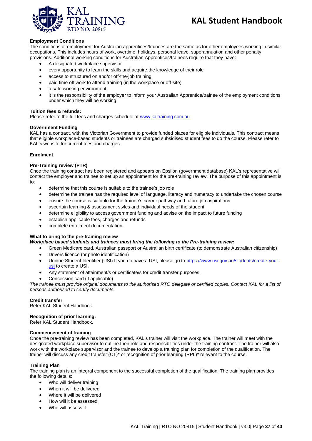

#### **Employment Conditions**

The conditions of employment for Australian apprentices/trainees are the same as for other employees working in similar occupations. This includes hours of work, overtime, holidays, personal leave, superannuation and other penalty provisions. Additional working conditions for Australian Apprentices/trainees require that they have:

- A designated workplace supervisor
- every opportunity to learn the skills and acquire the knowledge of their role
- access to structured on and/or off-the-job training
- paid time off work to attend training (in the workplace or off-site)
- a safe working environment.
- it is the responsibility of the employer to inform your Australian Apprentice/trainee of the employment conditions under which they will be working.

#### **Tuition fees & refunds:**

Please refer to the full fees and charges schedule at [www.kaltraining.com.au](http://www.kaltraining.com.au/)

#### **Government Funding**

KAL has a contract, with the Victorian Government to provide funded places for eligible individuals. This contract means that eligible workplace-based students or trainees are charged subsidised student fees to do the course. Please refer to KAL's website for current fees and charges.

#### **Enrolment**

#### **Pre-Training review (PTR)**

Once the training contract has been registered and appears on Epsilon (government database) KAL's representative will contact the employer and trainee to set up an appointment for the pre-training review. The purpose of this appointment is to:

- determine that this course is suitable to the trainee's job role
- determine the trainee has the required level of language, literacy and numeracy to undertake the chosen course
- ensure the course is suitable for the trainee's career pathway and future job aspirations
- ascertain learning & assessment styles and individual needs of the student
- determine eligibility to access government funding and advise on the impact to future funding
- establish applicable fees, charges and refunds
- complete enrolment documentation.

#### **What to bring to the pre-training review**

#### *Workplace based students and trainees must bring the following to the Pre-training review:*

- Green Medicare card, Australian passport or Australian birth certificate (to demonstrate Australian citizenship)
- Drivers licence (or photo identification)
- Unique Student Identifier (USI) If you do have a USI, please go to [https://www.usi.gov.au/students/create-your](https://www.usi.gov.au/students/create-your-usi)[usi](https://www.usi.gov.au/students/create-your-usi) to create a USI.
- Any statement of attainment/s or certificate/s for credit transfer purposes.
- Concession card (if applicable)

*The trainee must provide original documents to the authorised RTO delegate or certified copies. Contact KAL for a list of persons authorised to certify documents.*

#### **Credit transfer**

Refer KAL Student Handbook.

#### **Recognition of prior learning:**

Refer KAL Student Handbook.

#### **Commencement of training**

Once the pre-training review has been completed, KAL's trainer will visit the workplace. The trainer will meet with the designated workplace supervisor to outline their role and responsibilities under the training contract. The trainer will also work with the workplace supervisor and the trainee to develop a training plan for completion of the qualification. The trainer will discuss any credit transfer (CT)\* or recognition of prior learning (RPL)\* relevant to the course.

#### **Training Plan**

The training plan is an integral component to the successful completion of the qualification. The training plan provides the following details:

- Who will deliver training
- When it will be delivered
- Where it will be delivered
- How will it be assessed
- Who will assess it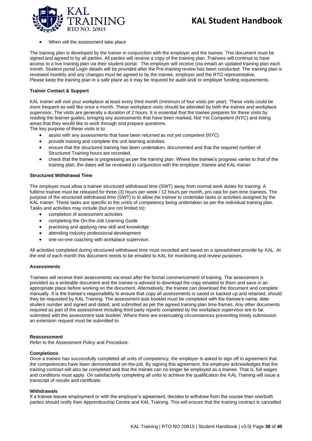

• When will the assessment take place

The training plan is developed by the trainer in conjunction with the employer and the trainee. This document must be signed and agreed to by all parties. All parties will receive a copy of the training plan. Trainees will continue to have access to a live training plan via their student portal. The employer will receive (via email) an updated training plan each month. Student portal Login details will be provided after the Pre-training review has been conducted. The training plan is reviewed monthly and any changes must be agreed to by the trainee, employer and the RTO representative. Please keep the training plan in a safe place as it may be required for audit and/ or employer funding requirements.

#### **Trainer Contact & Support**

KAL trainer will visit your workplace at least every third month (minimum of four visits per year). These visits could be more frequent as well like once a month. These workplace visits should be attended by both the trainee and workplace supervisor. The visits are generally a duration of 2 hours. It is essential that the trainee prepares for these visits by reading the learner guides, bringing any assessments that have been marked, Not Yet Competent (NYC) and listing areas that they would like to work through and prepare questions.

The key purpose of these visits is to:

- assist with any assessments that have been returned as not yet competent (NYC)
- provide training and complete the unit learning activities
- ensure that the structured training has been undertaken, documented and that the required number of Structured Training hours are recorded.
- check that the trainee is progressing as per the training plan. Where the trainee's progress varies to that of the training plan, the dates will be reviewed in conjunction with the employer, trainee and KAL trainer.

#### **Structured Withdrawal Time**

The employer must allow a trainee structured withdrawal time (SWT) away from normal work duties for training. A fulltime trainee must be released for three (3) hours per week / 12 hours per month, pro-rata for part-time trainees. The purpose of the structured withdrawal time (SWT) is to allow the trainee to undertake tasks or activities assigned by the KAL trainer. These tasks are specific to the unit/s of competency being undertaken as per the individual training plan. Tasks and activities may include (but are not limited to):

- completion of assessment activities
- completing the On-the-Job Learning Guide
- practising and applying new skill and knowledge
- attending industry professional development
- one-on-one coaching with workplace supervisor.

All activities completed during structured withdrawal time must recorded and saved on a spreadsheet provide by KAL. At the end of each month this document needs to be emailed to KAL for monitoring and review purposes.

#### **Assessments**

Trainees will receive their assessments via email after the formal commencement of training. The assessment is provided as a writeable document and the trainee is advised to download the copy emailed to them and save in an appropriate place before working on the document. Alternatively, the trainee can download the document and complete manually. It is the trainee's responsibility to ensure that copy all assessments is saved or backed up and retained, should they be requested by KAL Training. The assessment task booklet must be completed with the trainee's name, date student number and signed and dated, and submitted as per the agreed training plan time frames. Any other documents required as part of the assessment including third party reports completed by the workplace supervisor are to be submitted with the assessment task booklet. Where there are extenuating circumstances preventing timely submission an extension request must be submitted to

#### **Reassessment**

Refer to the Assessment Policy and Procedure.

#### **Completions**

Once a trainee has successfully completed all units of competency, the employer is asked to sign off in agreement that the competencies have been demonstrated on-the-job. By signing this agreement, the employer acknowledges that the training contract will also be completed and that the trainee can no longer be employed as a trainee. That is, full wages and conditions must apply. On satisfactorily completing all units to achieve the qualification the KAL Training will issue a transcript of results and certificate.

#### **Withdrawals**

If a trainee leaves employment or with the employer's agreement, decides to withdraw from the course then one/both parties should notify their Apprenticeship Centre and KAL Training. This will ensure that the training contract is cancelled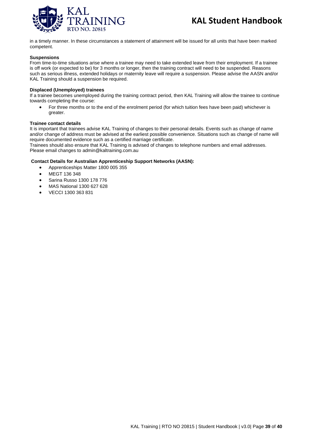

in a timely manner. In these circumstances a statement of attainment will be issued for all units that have been marked competent.

#### **Suspensions**

From time-to-time situations arise where a trainee may need to take extended leave from their employment. If a trainee is off work (or expected to be) for 3 months or longer, then the training contract will need to be suspended. Reasons such as serious illness, extended holidays or maternity leave will require a suspension. Please advise the AASN and/or KAL Training should a suspension be required.

#### **Displaced (Unemployed) trainees**

If a trainee becomes unemployed during the training contract period, then KAL Training will allow the trainee to continue towards completing the course:

• For three months or to the end of the enrolment period (for which tuition fees have been paid) whichever is greater.

#### **Trainee contact details**

It is important that trainees advise KAL Training of changes to their personal details. Events such as change of name and/or change of address must be advised at the earliest possible convenience. Situations such as change of name will require documented evidence such as a certified marriage certificate.

Trainees should also ensure that KAL Training is advised of changes to telephone numbers and email addresses. Please email changes to admin@kaltraining.com.au

#### **Contact Details for Australian Apprenticeship Support Networks (AASN):**

- Apprenticeships Matter 1800 005 355
- MEGT 136 348
- Sarina Russo 1300 178 776
- MAS National 1300 627 628
- VECCI 1300 363 831